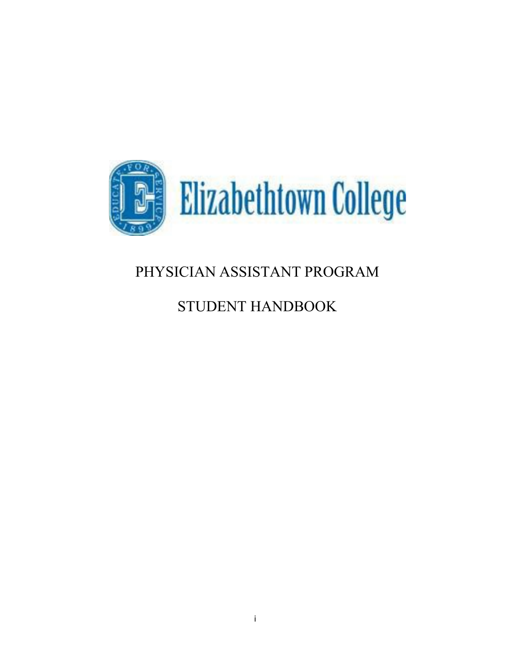

# PHYSICIAN ASSISTANT PROGRAM

# STUDENT HANDBOOK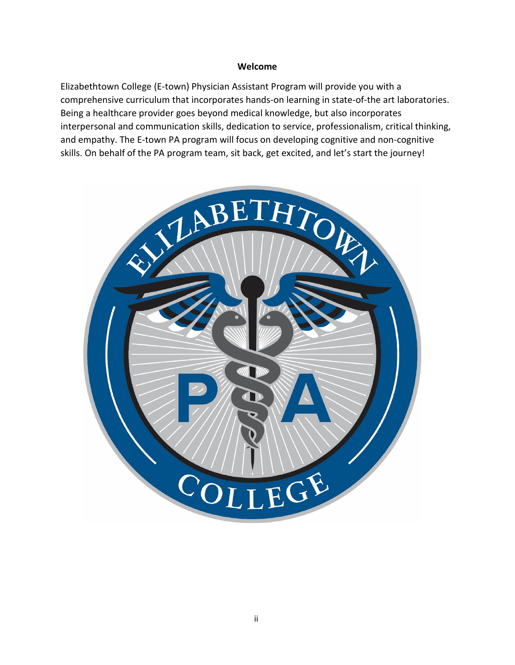#### **Welcome**

Elizabethtown College (E-town) Physician Assistant Program will provide you with a comprehensive curriculum that incorporates hands-on learning in state-of-the art laboratories. Being a healthcare provider goes beyond medical knowledge, but also incorporates interpersonal and communication skills, dedication to service, professionalism, critical thinking, and empathy. The E-town PA program will focus on developing cognitive and non-cognitive skills. On behalf of the PA program team, sit back, get excited, and let's start the journey!

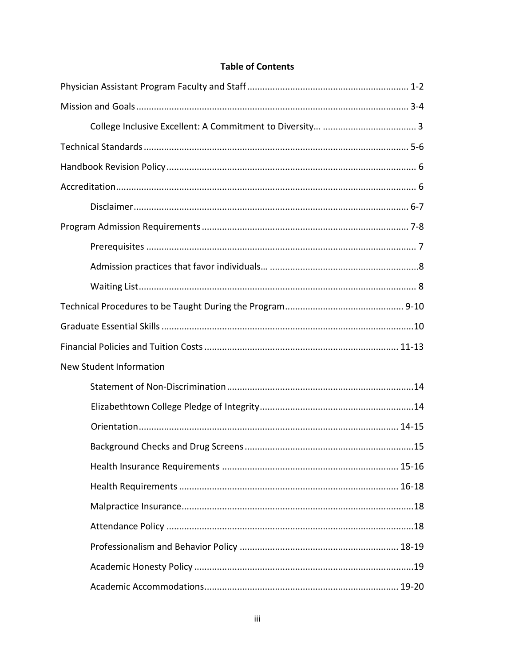# **Table of Contents**

| New Student Information |
|-------------------------|
|                         |
|                         |
|                         |
|                         |
|                         |
|                         |
|                         |
|                         |
|                         |
|                         |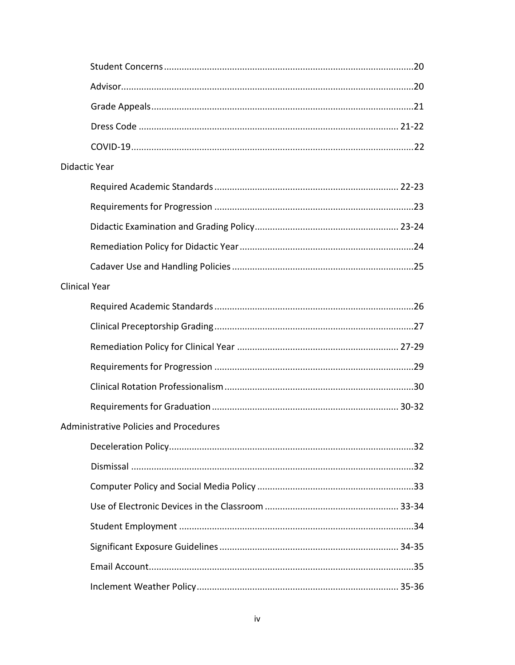|                      | <b>Didactic Year</b>                          |  |
|----------------------|-----------------------------------------------|--|
|                      |                                               |  |
|                      |                                               |  |
|                      |                                               |  |
|                      |                                               |  |
|                      |                                               |  |
| <b>Clinical Year</b> |                                               |  |
|                      |                                               |  |
|                      |                                               |  |
|                      |                                               |  |
|                      |                                               |  |
|                      |                                               |  |
|                      |                                               |  |
|                      | <b>Administrative Policies and Procedures</b> |  |
|                      |                                               |  |
|                      |                                               |  |
|                      |                                               |  |
|                      |                                               |  |
|                      |                                               |  |
|                      |                                               |  |
|                      |                                               |  |
|                      |                                               |  |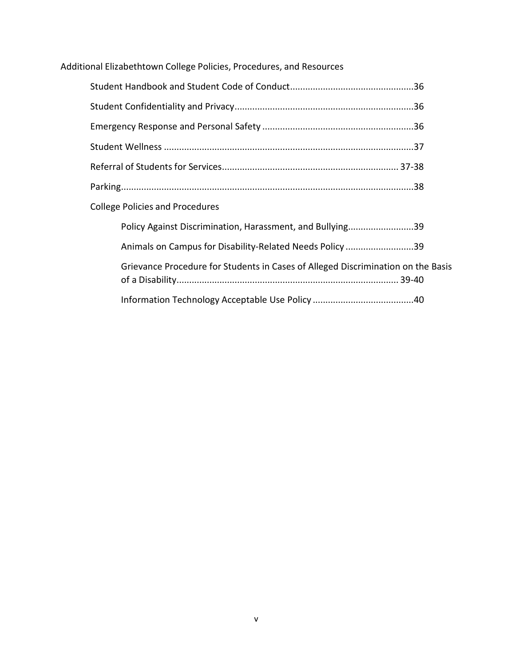# Additional Elizabethtown College Policies, Procedures, and Resources

| <b>College Policies and Procedures</b>                    |
|-----------------------------------------------------------|
| Policy Against Discrimination, Harassment, and Bullying39 |

| Animals on Campus for Disability-Related Needs Policy39                          |  |
|----------------------------------------------------------------------------------|--|
| Grievance Procedure for Students in Cases of Alleged Discrimination on the Basis |  |
|                                                                                  |  |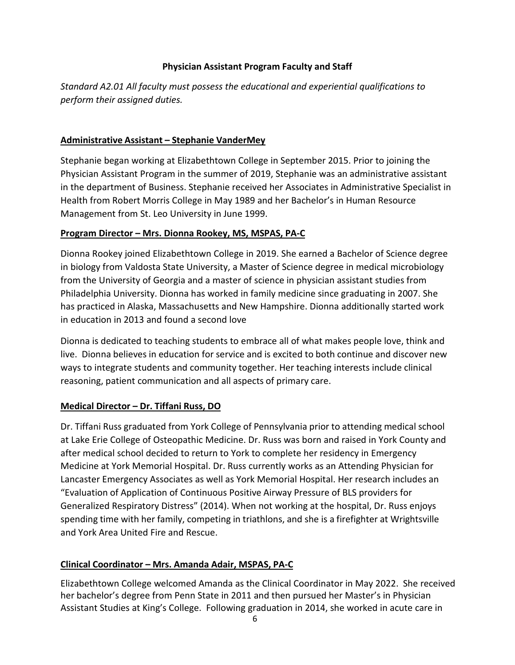#### **Physician Assistant Program Faculty and Staff**

<span id="page-5-0"></span>*Standard A2.01 All faculty must possess the educational and experiential qualifications to perform their assigned duties.*

#### **Administrative Assistant – Stephanie VanderMey**

Stephanie began working at Elizabethtown College in September 2015. Prior to joining the Physician Assistant Program in the summer of 2019, Stephanie was an administrative assistant in the department of Business. Stephanie received her Associates in Administrative Specialist in Health from Robert Morris College in May 1989 and her Bachelor's in Human Resource Management from St. Leo University in June 1999.

#### **Program Director – Mrs. Dionna Rookey, MS, MSPAS, PA-C**

Dionna Rookey joined Elizabethtown College in 2019. She earned a Bachelor of Science degree in biology from Valdosta State University, a Master of Science degree in medical microbiology from the University of Georgia and a master of science in physician assistant studies from Philadelphia University. Dionna has worked in family medicine since graduating in 2007. She has practiced in Alaska, Massachusetts and New Hampshire. Dionna additionally started work in education in 2013 and found a second love

Dionna is dedicated to teaching students to embrace all of what makes people love, think and live. Dionna believes in education for service and is excited to both continue and discover new ways to integrate students and community together. Her teaching interests include clinical reasoning, patient communication and all aspects of primary care.

# **Medical Director – Dr. Tiffani Russ, DO**

Dr. Tiffani Russ graduated from York College of Pennsylvania prior to attending medical school at Lake Erie College of Osteopathic Medicine. Dr. Russ was born and raised in York County and after medical school decided to return to York to complete her residency in Emergency Medicine at York Memorial Hospital. Dr. Russ currently works as an Attending Physician for Lancaster Emergency Associates as well as York Memorial Hospital. Her research includes an "Evaluation of Application of Continuous Positive Airway Pressure of BLS providers for Generalized Respiratory Distress" (2014). When not working at the hospital, Dr. Russ enjoys spending time with her family, competing in triathlons, and she is a firefighter at Wrightsville and York Area United Fire and Rescue.

# **Clinical Coordinator – Mrs. Amanda Adair, MSPAS, PA-C**

Elizabethtown College welcomed Amanda as the Clinical Coordinator in May 2022. She received her bachelor's degree from Penn State in 2011 and then pursued her Master's in Physician Assistant Studies at King's College. Following graduation in 2014, she worked in acute care in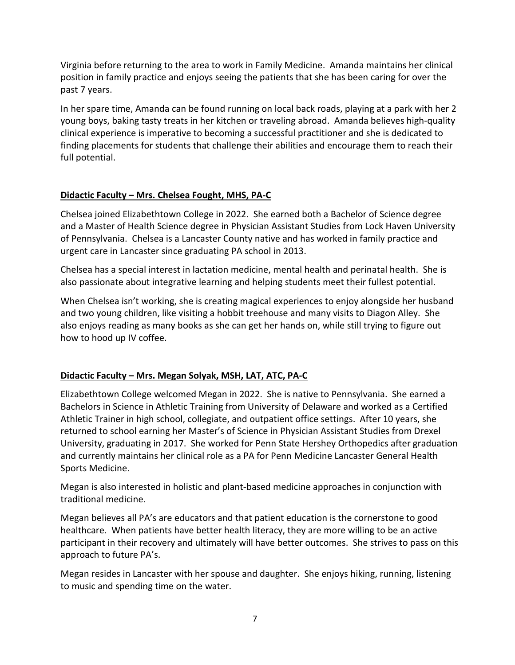Virginia before returning to the area to work in Family Medicine. Amanda maintains her clinical position in family practice and enjoys seeing the patients that she has been caring for over the past 7 years.

In her spare time, Amanda can be found running on local back roads, playing at a park with her 2 young boys, baking tasty treats in her kitchen or traveling abroad. Amanda believes high-quality clinical experience is imperative to becoming a successful practitioner and she is dedicated to finding placements for students that challenge their abilities and encourage them to reach their full potential.

# **Didactic Faculty – Mrs. Chelsea Fought, MHS, PA-C**

Chelsea joined Elizabethtown College in 2022. She earned both a Bachelor of Science degree and a Master of Health Science degree in Physician Assistant Studies from Lock Haven University of Pennsylvania. Chelsea is a Lancaster County native and has worked in family practice and urgent care in Lancaster since graduating PA school in 2013.

Chelsea has a special interest in lactation medicine, mental health and perinatal health. She is also passionate about integrative learning and helping students meet their fullest potential.

When Chelsea isn't working, she is creating magical experiences to enjoy alongside her husband and two young children, like visiting a hobbit treehouse and many visits to Diagon Alley. She also enjoys reading as many books as she can get her hands on, while still trying to figure out how to hood up IV coffee.

# **Didactic Faculty – Mrs. Megan Solyak, MSH, LAT, ATC, PA-C**

Elizabethtown College welcomed Megan in 2022. She is native to Pennsylvania. She earned a Bachelors in Science in Athletic Training from University of Delaware and worked as a Certified Athletic Trainer in high school, collegiate, and outpatient office settings. After 10 years, she returned to school earning her Master's of Science in Physician Assistant Studies from Drexel University, graduating in 2017. She worked for Penn State Hershey Orthopedics after graduation and currently maintains her clinical role as a PA for Penn Medicine Lancaster General Health Sports Medicine.

Megan is also interested in holistic and plant-based medicine approaches in conjunction with traditional medicine.

Megan believes all PA's are educators and that patient education is the cornerstone to good healthcare. When patients have better health literacy, they are more willing to be an active participant in their recovery and ultimately will have better outcomes. She strives to pass on this approach to future PA's.

Megan resides in Lancaster with her spouse and daughter. She enjoys hiking, running, listening to music and spending time on the water.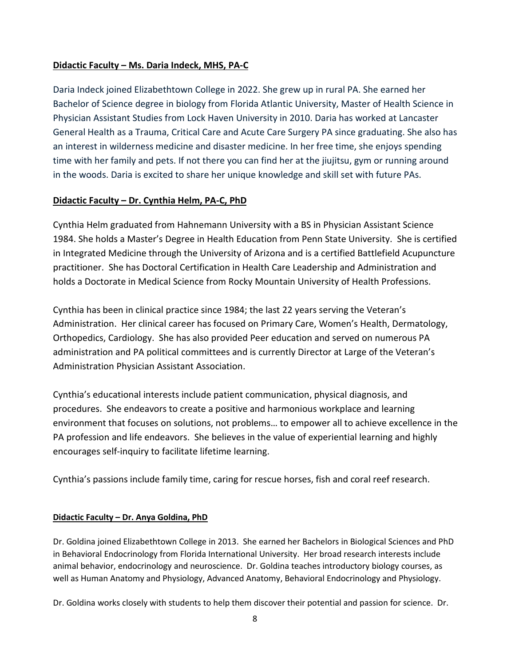#### **Didactic Faculty – Ms. Daria Indeck, MHS, PA-C**

Daria Indeck joined Elizabethtown College in 2022. She grew up in rural PA. She earned her Bachelor of Science degree in biology from Florida Atlantic University, Master of Health Science in Physician Assistant Studies from Lock Haven University in 2010. Daria has worked at Lancaster General Health as a Trauma, Critical Care and Acute Care Surgery PA since graduating. She also has an interest in wilderness medicine and disaster medicine. In her free time, she enjoys spending time with her family and pets. If not there you can find her at the jiujitsu, gym or running around in the woods. Daria is excited to share her unique knowledge and skill set with future PAs.

#### **Didactic Faculty – Dr. Cynthia Helm, PA-C, PhD**

Cynthia Helm graduated from Hahnemann University with a BS in Physician Assistant Science 1984. She holds a Master's Degree in Health Education from Penn State University. She is certified in Integrated Medicine through the University of Arizona and is a certified Battlefield Acupuncture practitioner. She has Doctoral Certification in Health Care Leadership and Administration and holds a Doctorate in Medical Science from Rocky Mountain University of Health Professions.

Cynthia has been in clinical practice since 1984; the last 22 years serving the Veteran's Administration. Her clinical career has focused on Primary Care, Women's Health, Dermatology, Orthopedics, Cardiology. She has also provided Peer education and served on numerous PA administration and PA political committees and is currently Director at Large of the Veteran's Administration Physician Assistant Association.

Cynthia's educational interests include patient communication, physical diagnosis, and procedures. She endeavors to create a positive and harmonious workplace and learning environment that focuses on solutions, not problems… to empower all to achieve excellence in the PA profession and life endeavors. She believes in the value of experiential learning and highly encourages self-inquiry to facilitate lifetime learning.

Cynthia's passions include family time, caring for rescue horses, fish and coral reef research.

#### **Didactic Faculty – Dr. Anya Goldina, PhD**

Dr. Goldina joined Elizabethtown College in 2013. She earned her Bachelors in Biological Sciences and PhD in Behavioral Endocrinology from Florida International University. Her broad research interests include animal behavior, endocrinology and neuroscience. Dr. Goldina teaches introductory biology courses, as well as Human Anatomy and Physiology, Advanced Anatomy, Behavioral Endocrinology and Physiology.

Dr. Goldina works closely with students to help them discover their potential and passion for science. Dr.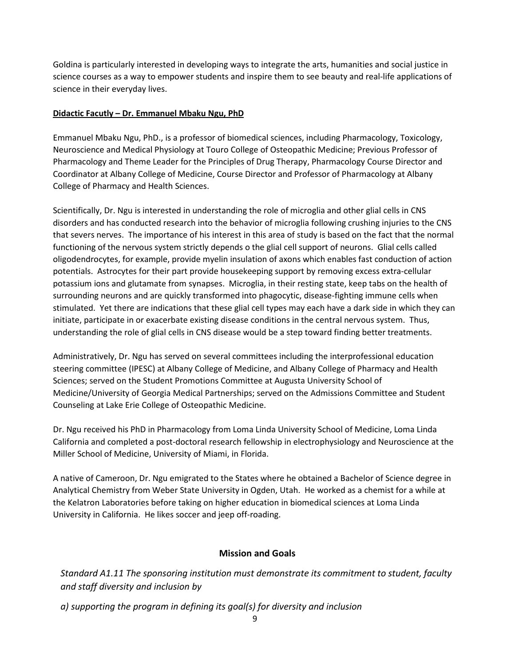Goldina is particularly interested in developing ways to integrate the arts, humanities and social justice in science courses as a way to empower students and inspire them to see beauty and real-life applications of science in their everyday lives.

#### **Didactic Facutly – Dr. Emmanuel Mbaku Ngu, PhD**

Emmanuel Mbaku Ngu, PhD., is a professor of biomedical sciences, including Pharmacology, Toxicology, Neuroscience and Medical Physiology at Touro College of Osteopathic Medicine; Previous Professor of Pharmacology and Theme Leader for the Principles of Drug Therapy, Pharmacology Course Director and Coordinator at Albany College of Medicine, Course Director and Professor of Pharmacology at Albany College of Pharmacy and Health Sciences.

Scientifically, Dr. Ngu is interested in understanding the role of microglia and other glial cells in CNS disorders and has conducted research into the behavior of microglia following crushing injuries to the CNS that severs nerves. The importance of his interest in this area of study is based on the fact that the normal functioning of the nervous system strictly depends o the glial cell support of neurons. Glial cells called oligodendrocytes, for example, provide myelin insulation of axons which enables fast conduction of action potentials. Astrocytes for their part provide housekeeping support by removing excess extra-cellular potassium ions and glutamate from synapses. Microglia, in their resting state, keep tabs on the health of surrounding neurons and are quickly transformed into phagocytic, disease-fighting immune cells when stimulated. Yet there are indications that these glial cell types may each have a dark side in which they can initiate, participate in or exacerbate existing disease conditions in the central nervous system. Thus, understanding the role of glial cells in CNS disease would be a step toward finding better treatments.

Administratively, Dr. Ngu has served on several committees including the interprofessional education steering committee (IPESC) at Albany College of Medicine, and Albany College of Pharmacy and Health Sciences; served on the Student Promotions Committee at Augusta University School of Medicine/University of Georgia Medical Partnerships; served on the Admissions Committee and Student Counseling at Lake Erie College of Osteopathic Medicine.

Dr. Ngu received his PhD in Pharmacology from Loma Linda University School of Medicine, Loma Linda California and completed a post-doctoral research fellowship in electrophysiology and Neuroscience at the Miller School of Medicine, University of Miami, in Florida.

A native of Cameroon, Dr. Ngu emigrated to the States where he obtained a Bachelor of Science degree in Analytical Chemistry from Weber State University in Ogden, Utah. He worked as a chemist for a while at the Kelatron Laboratories before taking on higher education in biomedical sciences at Loma Linda University in California. He likes soccer and jeep off-roading.

# **Mission and Goals**

<span id="page-8-0"></span>*Standard A1.11 The sponsoring institution must demonstrate its commitment to student, faculty and staff diversity and inclusion by*

*a) supporting the program in defining its goal(s) for diversity and inclusion*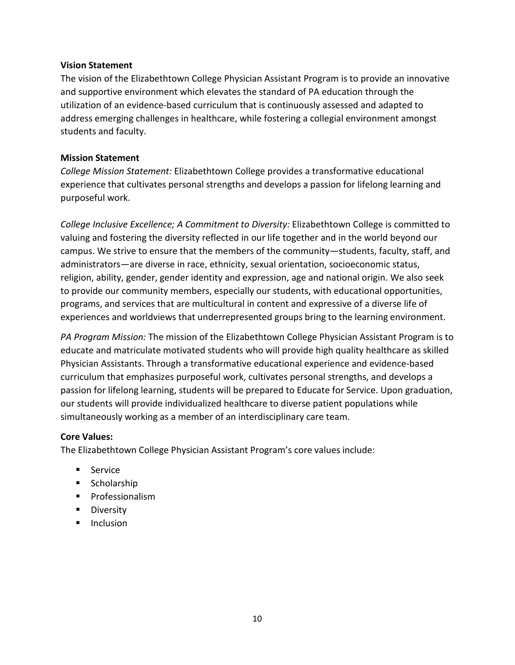#### **Vision Statement**

The vision of the Elizabethtown College Physician Assistant Program is to provide an innovative and supportive environment which elevates the standard of PA education through the utilization of an evidence-based curriculum that is continuously assessed and adapted to address emerging challenges in healthcare, while fostering a collegial environment amongst students and faculty.

#### **Mission Statement**

*College Mission Statement:* Elizabethtown College provides a transformative educational experience that cultivates personal strengths and develops a passion for lifelong learning and purposeful work.

*College Inclusive Excellence; A Commitment to Diversity:* Elizabethtown College is committed to valuing and fostering the diversity reflected in our life together and in the world beyond our campus. We strive to ensure that the members of the community—students, faculty, staff, and administrators—are diverse in race, ethnicity, sexual orientation, socioeconomic status, religion, ability, gender, gender identity and expression, age and national origin. We also seek to provide our community members, especially our students, with educational opportunities, programs, and services that are multicultural in content and expressive of a diverse life of experiences and worldviews that underrepresented groups bring to the learning environment.

*PA Program Mission:* The mission of the Elizabethtown College Physician Assistant Program is to educate and matriculate motivated students who will provide high quality healthcare as skilled Physician Assistants. Through a transformative educational experience and evidence-based curriculum that emphasizes purposeful work, cultivates personal strengths, and develops a passion for lifelong learning, students will be prepared to Educate for Service. Upon graduation, our students will provide individualized healthcare to diverse patient populations while simultaneously working as a member of an interdisciplinary care team.

# **Core Values:**

The Elizabethtown College Physician Assistant Program's core values include:

- **Service**
- **Scholarship**
- **Professionalism**
- **Diversity**
- **Inclusion**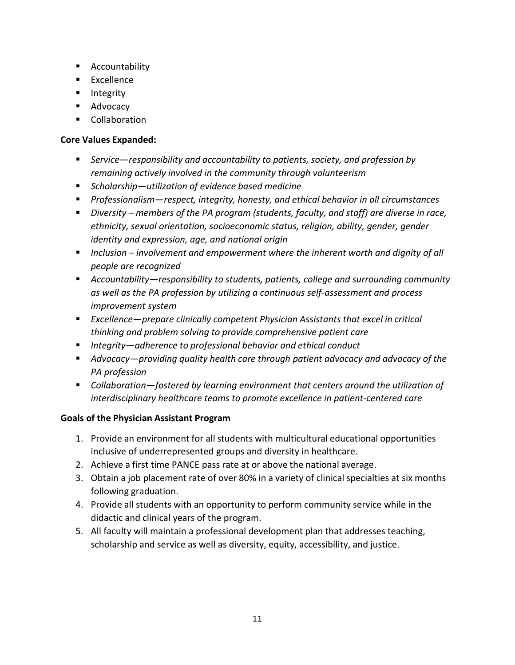- **EXECOUNTABILITY**
- **Excellence**
- **Integrity**
- **Advocacy**
- **E** Collaboration

#### **Core Values Expanded:**

- *Service—responsibility and accountability to patients, society, and profession by remaining actively involved in the community through volunteerism*
- *Scholarship—utilization of evidence based medicine*
- *Professionalism—respect, integrity, honesty, and ethical behavior in all circumstances*
- *Diversity – members of the PA program (students, faculty, and staff) are diverse in race, ethnicity, sexual orientation, socioeconomic status, religion, ability, gender, gender identity and expression, age, and national origin*
- *Inclusion – involvement and empowerment where the inherent worth and dignity of all people are recognized*
- *Accountability—responsibility to students, patients, college and surrounding community as well as the PA profession by utilizing a continuous self-assessment and process improvement system*
- *Excellence—prepare clinically competent Physician Assistants that excel in critical thinking and problem solving to provide comprehensive patient care*
- *Integrity—adherence to professional behavior and ethical conduct*
- *Advocacy—providing quality health care through patient advocacy and advocacy of the PA profession*
- *Collaboration—fostered by learning environment that centers around the utilization of interdisciplinary healthcare teams to promote excellence in patient-centered care*

# **Goals of the Physician Assistant Program**

- 1. Provide an environment for all students with multicultural educational opportunities inclusive of underrepresented groups and diversity in healthcare.
- 2. Achieve a first time PANCE pass rate at or above the national average.
- 3. Obtain a job placement rate of over 80% in a variety of clinical specialties at six months following graduation.
- 4. Provide all students with an opportunity to perform community service while in the didactic and clinical years of the program.
- 5. All faculty will maintain a professional development plan that addresses teaching, scholarship and service as well as diversity, equity, accessibility, and justice.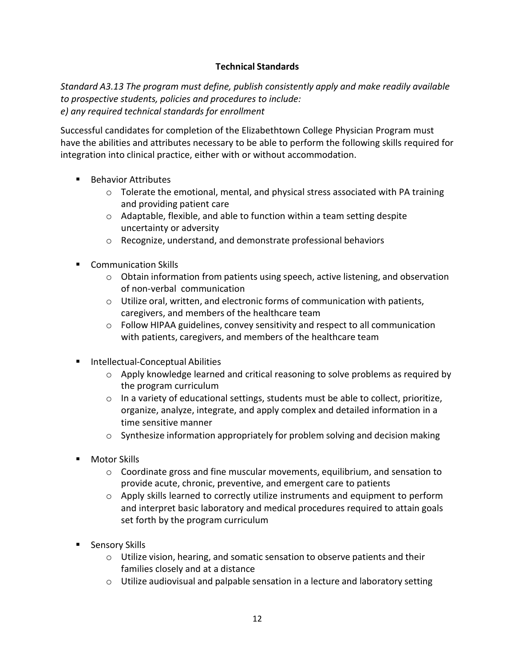# **Technical Standards**

<span id="page-11-0"></span>*Standard A3.13 The program must define, publish consistently apply and make readily available to prospective students, policies and procedures to include: e) any required technical standards for enrollment*

Successful candidates for completion of the Elizabethtown College Physician Program must have the abilities and attributes necessary to be able to perform the following skills required for integration into clinical practice, either with or without accommodation.

- **Behavior Attributes** 
	- $\circ$  Tolerate the emotional, mental, and physical stress associated with PA training and providing patient care
	- o Adaptable, flexible, and able to function within a team setting despite uncertainty or adversity
	- o Recognize, understand, and demonstrate professional behaviors
- **E** Communication Skills
	- o Obtain information from patients using speech, active listening, and observation of non-verbal communication
	- $\circ$  Utilize oral, written, and electronic forms of communication with patients, caregivers, and members of the healthcare team
	- $\circ$  Follow HIPAA guidelines, convey sensitivity and respect to all communication with patients, caregivers, and members of the healthcare team
- **Intellectual-Conceptual Abilities** 
	- o Apply knowledge learned and critical reasoning to solve problems as required by the program curriculum
	- $\circ$  In a variety of educational settings, students must be able to collect, prioritize, organize, analyze, integrate, and apply complex and detailed information in a time sensitive manner
	- $\circ$  Synthesize information appropriately for problem solving and decision making
- Motor Skills
	- $\circ$  Coordinate gross and fine muscular movements, equilibrium, and sensation to provide acute, chronic, preventive, and emergent care to patients
	- $\circ$  Apply skills learned to correctly utilize instruments and equipment to perform and interpret basic laboratory and medical procedures required to attain goals set forth by the program curriculum
- **Sensory Skills** 
	- $\circ$  Utilize vision, hearing, and somatic sensation to observe patients and their families closely and at a distance
	- o Utilize audiovisual and palpable sensation in a lecture and laboratory setting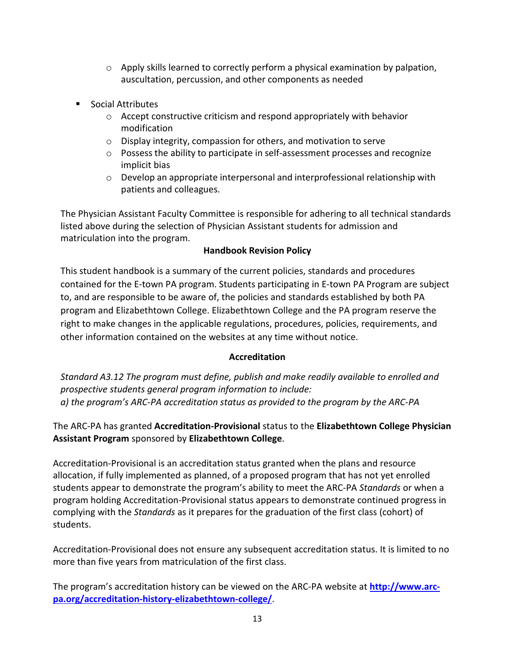- $\circ$  Apply skills learned to correctly perform a physical examination by palpation, auscultation, percussion, and other components as needed
- **Social Attributes** 
	- $\circ$  Accept constructive criticism and respond appropriately with behavior modification
	- o Display integrity, compassion for others, and motivation to serve
	- $\circ$  Possess the ability to participate in self-assessment processes and recognize implicit bias
	- $\circ$  Develop an appropriate interpersonal and interprofessional relationship with patients and colleagues.

The Physician Assistant Faculty Committee is responsible for adhering to all technical standards listed above during the selection of Physician Assistant students for admission and matriculation into the program.

# **Handbook Revision Policy**

<span id="page-12-0"></span>This student handbook is a summary of the current policies, standards and procedures contained for the E-town PA program. Students participating in E-town PA Program are subject to, and are responsible to be aware of, the policies and standards established by both PA program and Elizabethtown College. Elizabethtown College and the PA program reserve the right to make changes in the applicable regulations, procedures, policies, requirements, and other information contained on the websites at any time without notice.

# **Accreditation**

<span id="page-12-1"></span>*Standard A3.12 The program must define, publish and make readily available to enrolled and prospective students general program information to include: a) the program's ARC-PA accreditation status as provided to the program by the ARC-PA*

# The ARC-PA has granted **Accreditation-Provisional** status to the **Elizabethtown College Physician Assistant Program** sponsored by **Elizabethtown College**.

Accreditation-Provisional is an accreditation status granted when the plans and resource allocation, if fully implemented as planned, of a proposed program that has not yet enrolled students appear to demonstrate the program's ability to meet the ARC-PA *Standards* or when a program holding Accreditation-Provisional status appears to demonstrate continued progress in complying with the *Standards* as it prepares for the graduation of the first class (cohort) of students.

Accreditation-Provisional does not ensure any subsequent accreditation status. It is limited to no more than five years from matriculation of the first class.

The program's accreditation history can be viewed on the ARC-PA website at **[http://www.arc](http://www.arc-pa.org/accreditation-history-elizabethtown-college/)[pa.org/accreditation-history-elizabethtown-college/](http://www.arc-pa.org/accreditation-history-elizabethtown-college/)**.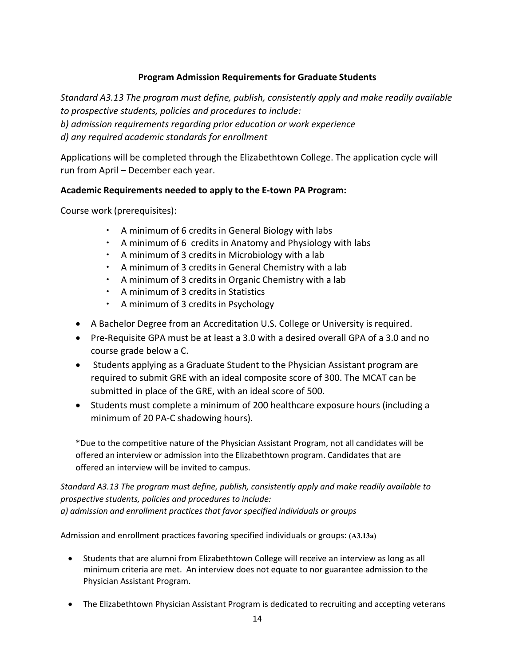# **Program Admission Requirements for Graduate Students**

*Standard A3.13 The program must define, publish, consistently apply and make readily available to prospective students, policies and procedures to include: b) admission requirements regarding prior education or work experience d) any required academic standards for enrollment*

Applications will be completed through the Elizabethtown College. The application cycle will run from April – December each year.

# **Academic Requirements needed to apply to the E-town PA Program:**

Course work (prerequisites):

- A minimum of 6 credits in General Biology with labs
- $\cdot$  A minimum of 6 credits in Anatomy and Physiology with labs
- $\cdot$  A minimum of 3 credits in Microbiology with a lab
- A minimum of 3 credits in General Chemistry with a lab
- A minimum of 3 credits in Organic Chemistry with a lab
- A minimum of 3 credits in Statistics
- A minimum of 3 credits in Psychology
- A Bachelor Degree from an Accreditation U.S. College or University is required.
- Pre-Requisite GPA must be at least a 3.0 with a desired overall GPA of a 3.0 and no course grade below a C.
- Students applying as a Graduate Student to the Physician Assistant program are required to submit GRE with an ideal composite score of 300. The MCAT can be submitted in place of the GRE, with an ideal score of 500.
- Students must complete a minimum of 200 healthcare exposure hours (including a minimum of 20 PA-C shadowing hours).

\*Due to the competitive nature of the Physician Assistant Program, not all candidates will be offered an interview or admission into the Elizabethtown program. Candidates that are offered an interview will be invited to campus.

*Standard A3.13 The program must define, publish, consistently apply and make readily available to prospective students, policies and procedures to include: a) admission and enrollment practices that favor specified individuals or groups*

Admission and enrollment practices favoring specified individuals or groups: **(A3.13a)**

- Students that are alumni from Elizabethtown College will receive an interview as long as all minimum criteria are met. An interview does not equate to nor guarantee admission to the Physician Assistant Program.
- The Elizabethtown Physician Assistant Program is dedicated to recruiting and accepting veterans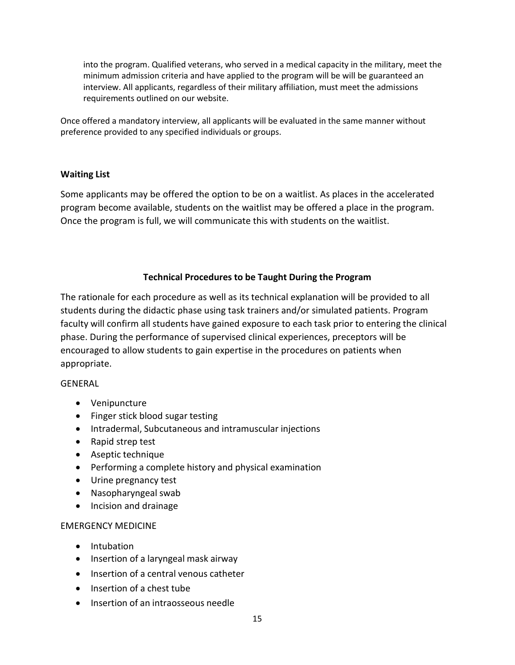into the program. Qualified veterans, who served in a medical capacity in the military, meet the minimum admission criteria and have applied to the program will be will be guaranteed an interview. All applicants, regardless of their military affiliation, must meet the admissions requirements outlined on our website.

Once offered a mandatory interview, all applicants will be evaluated in the same manner without preference provided to any specified individuals or groups.

#### <span id="page-14-0"></span>**Waiting List**

<span id="page-14-1"></span>Some applicants may be offered the option to be on a waitlist. As places in the accelerated program become available, students on the waitlist may be offered a place in the program. Once the program is full, we will communicate this with students on the waitlist.

#### **Technical Procedures to be Taught During the Program**

The rationale for each procedure as well as its technical explanation will be provided to all students during the didactic phase using task trainers and/or simulated patients. Program faculty will confirm all students have gained exposure to each task prior to entering the clinical phase. During the performance of supervised clinical experiences, preceptors will be encouraged to allow students to gain expertise in the procedures on patients when appropriate.

#### GENERAL

- Venipuncture
- Finger stick blood sugar testing
- Intradermal, Subcutaneous and intramuscular injections
- Rapid strep test
- Aseptic technique
- Performing a complete history and physical examination
- Urine pregnancy test
- Nasopharyngeal swab
- Incision and drainage

#### EMERGENCY MEDICINE

- Intubation
- Insertion of a laryngeal mask airway
- Insertion of a central venous catheter
- Insertion of a chest tube
- Insertion of an intraosseous needle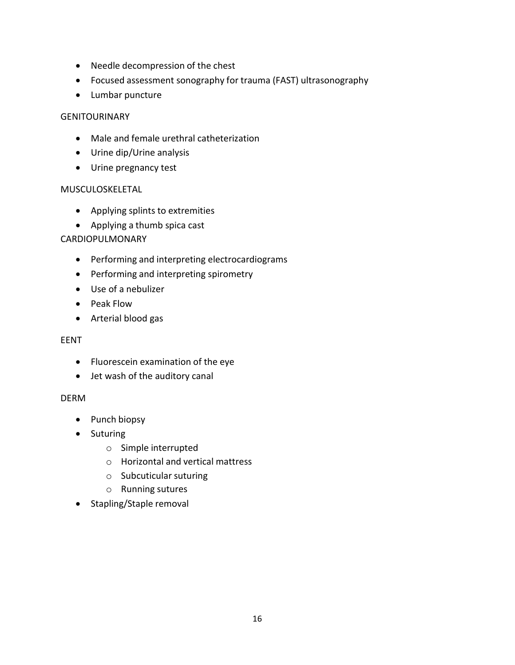- Needle decompression of the chest
- Focused assessment sonography for trauma (FAST) ultrasonography
- Lumbar puncture

#### GENITOURINARY

- Male and female urethral catheterization
- Urine dip/Urine analysis
- Urine pregnancy test

#### MUSCULOSKELETAL

- Applying splints to extremities
- Applying a thumb spica cast

# CARDIOPULMONARY

- Performing and interpreting electrocardiograms
- Performing and interpreting spirometry
- Use of a nebulizer
- Peak Flow
- Arterial blood gas

# EENT

- Fluorescein examination of the eye
- Jet wash of the auditory canal

# DERM

- Punch biopsy
- Suturing
	- o Simple interrupted
	- o Horizontal and vertical mattress
	- o Subcuticular suturing
	- o Running sutures
- <span id="page-15-0"></span>• Stapling/Staple removal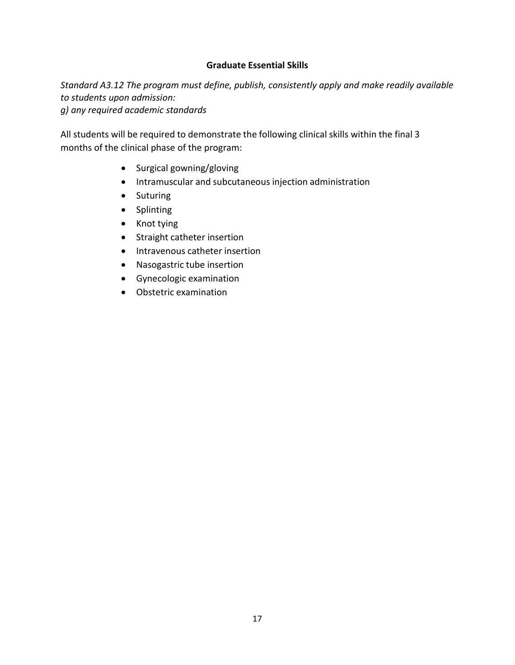#### **Graduate Essential Skills**

*Standard A3.12 The program must define, publish, consistently apply and make readily available to students upon admission: g) any required academic standards*

All students will be required to demonstrate the following clinical skills within the final 3 months of the clinical phase of the program:

- Surgical gowning/gloving
- Intramuscular and subcutaneous injection administration
- Suturing
- Splinting
- Knot tying
- Straight catheter insertion
- Intravenous catheter insertion
- Nasogastric tube insertion
- Gynecologic examination
- <span id="page-16-0"></span>• Obstetric examination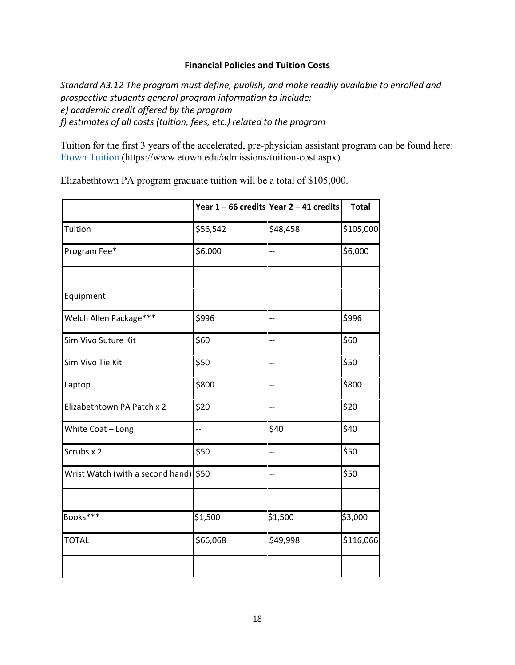#### **Financial Policies and Tuition Costs**

*Standard A3.12 The program must define, publish, and make readily available to enrolled and prospective students general program information to include: e) academic credit offered by the program f) estimates of all costs (tuition, fees, etc.) related to the program*

Tuition for the first 3 years of the accelerated, pre-physician assistant program can be found here: Etown [Tuition](https://www.etown.edu/admissions/tuition-cost.aspx) (https:[//www.etown.edu/admissions/tuition-cost.aspx\).](http://www.etown.edu/admissions/tuition-cost.aspx))

Elizabethtown PA program graduate tuition will be a total of \$105,000.

|                                       |                          | Year 1 - 66 credits Year 2 - 41 credits | <b>Total</b> |
|---------------------------------------|--------------------------|-----------------------------------------|--------------|
| Tuition                               | \$56,542                 | \$48,458                                | \$105,000    |
| Program Fee*                          | \$6,000                  | --                                      | \$6,000      |
|                                       |                          |                                         |              |
| Equipment                             |                          |                                         |              |
| Welch Allen Package***                | \$996                    |                                         | \$996        |
| Sim Vivo Suture Kit                   | \$60                     |                                         | \$60         |
| Sim Vivo Tie Kit                      | \$50                     | --                                      | \$50         |
| Laptop                                | \$800                    | --                                      | \$800        |
| Elizabethtown PA Patch x 2            | \$20                     |                                         | \$20         |
| White Coat - Long                     | $\overline{\phantom{a}}$ | \$40                                    | \$40         |
| Scrubs x 2                            | \$50                     |                                         | \$50         |
| Wrist Watch (with a second hand) \$50 |                          | --                                      | \$50         |
|                                       |                          |                                         |              |
| Books***                              | \$1,500                  | \$1,500                                 | \$3,000      |
| <b>TOTAL</b>                          | \$66,068                 | \$49,998                                | \$116,066    |
|                                       |                          |                                         |              |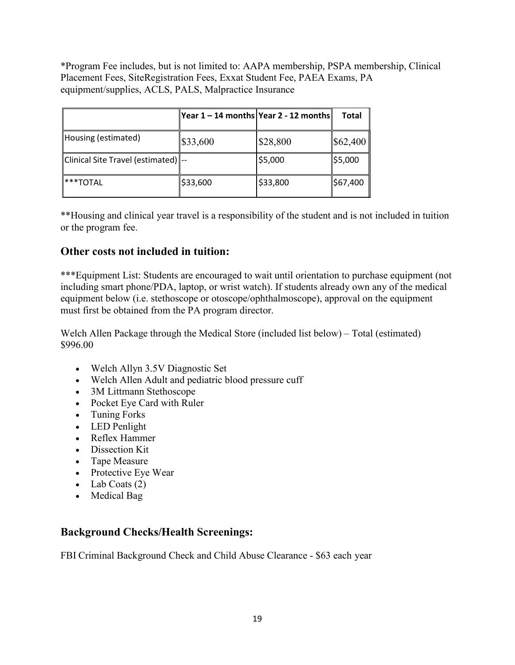\*Program Fee includes, but is not limited to: AAPA membership, PSPA membership, Clinical Placement Fees, SiteRegistration Fees, Exxat Student Fee, PAEA Exams, PA equipment/supplies, ACLS, PALS, Malpractice Insurance

|                                     | Year 1 – 14 months  Year 2 - 12 months |          | Total    |
|-------------------------------------|----------------------------------------|----------|----------|
| Housing (estimated)                 | \$33,600                               | \$28,800 | \$62,400 |
| Clinical Site Travel (estimated) -- |                                        | \$5,000  | \$5,000  |
| ***TOTAL                            | \$33,600                               | \$33,800 | \$67,400 |

\*\*Housing and clinical year travel is a responsibility of the student and is not included in tuition or the program fee.

# **Other costs not included in tuition:**

\*\*\*Equipment List: Students are encouraged to wait until orientation to purchase equipment (not including smart phone/PDA, laptop, or wrist watch). If students already own any of the medical equipment below (i.e. stethoscope or otoscope/ophthalmoscope), approval on the equipment must first be obtained from the PA program director.

Welch Allen Package through the Medical Store (included list below) – Total (estimated) \$996.00

- Welch Allyn 3.5V Diagnostic Set
- Welch Allen Adult and pediatric blood pressure cuff
- 3M Littmann Stethoscope
- Pocket Eye Card with Ruler
- Tuning Forks
- LED Penlight
- Reflex Hammer
- Dissection Kit
- Tape Measure
- Protective Eye Wear
- Lab Coats  $(2)$
- Medical Bag

# **Background Checks/Health Screenings:**

FBI Criminal Background Check and Child Abuse Clearance - \$63 each year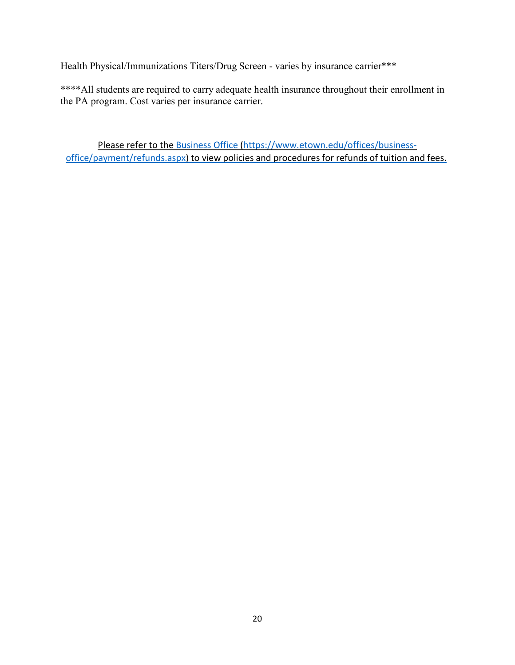Health Physical/Immunizations Titers/Drug Screen - varies by insurance carrier\*\*\*

\*\*\*\*All students are required to carry adequate health insurance throughout their enrollment in the PA program. Cost varies per insurance carrier.

Please refer to the [Business Office](https://www.etown.edu/offices/business-office/payment/refunds.aspx) [\(https://www.etown.edu/offices/business](https://www.etown.edu/offices/business-office/payment/refunds.aspx)[office/payment/refunds.aspx\)](https://www.etown.edu/offices/business-office/payment/refunds.aspx) to view policies and procedures for refunds of tuition and fees.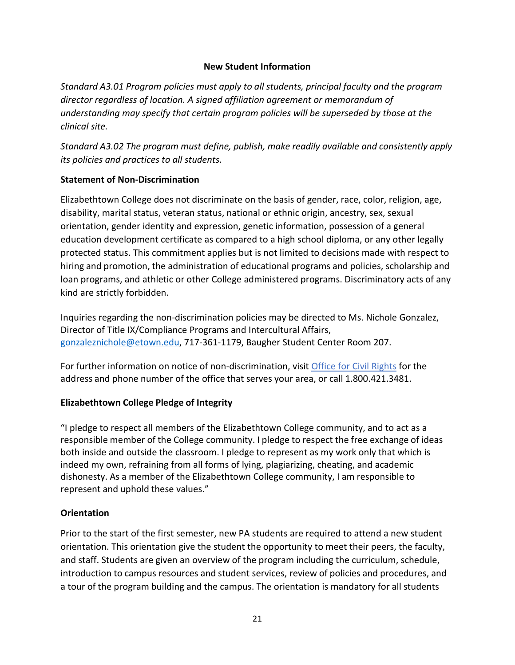#### **New Student Information**

<span id="page-20-0"></span>*Standard A3.01 Program policies must apply to all students, principal faculty and the program director regardless of location. A signed affiliation agreement or memorandum of understanding may specify that certain program policies will be superseded by those at the clinical site.*

*Standard A3.02 The program must define, publish, make readily available and consistently apply its policies and practices to all students.*

# <span id="page-20-1"></span>**Statement of Non-Discrimination**

Elizabethtown College does not discriminate on the basis of gender, race, color, religion, age, disability, marital status, veteran status, national or ethnic origin, ancestry, sex, sexual orientation, gender identity and expression, genetic information, possession of a general education development certificate as compared to a high school diploma, or any other legally protected status. This commitment applies but is not limited to decisions made with respect to hiring and promotion, the administration of educational programs and policies, scholarship and loan programs, and athletic or other College administered programs. Discriminatory acts of any kind are strictly forbidden.

Inquiries regarding the non-discrimination policies may be directed to Ms. Nichole Gonzalez, Director of Title IX/Compliance Programs and Intercultural Affairs, [gonzaleznichole@etown.edu,](mailto:gonzaleznichole@etown.edu) 717-361-1179, Baugher Student Center Room 207.

For further information on notice of non-discrimination, visit [Office for Civil Rights](http://wdcrobcolp01.ed.gov/CFAPPS/OCR/contactus.cfm) for the address and phone number of the office that serves your area, or call 1.800.421.3481.

# <span id="page-20-2"></span>**Elizabethtown College Pledge of Integrity**

"I pledge to respect all members of the Elizabethtown College community, and to act as a responsible member of the College community. I pledge to respect the free exchange of ideas both inside and outside the classroom. I pledge to represent as my work only that which is indeed my own, refraining from all forms of lying, plagiarizing, cheating, and academic dishonesty. As a member of the Elizabethtown College community, I am responsible to represent and uphold these values."

# <span id="page-20-3"></span>**Orientation**

Prior to the start of the first semester, new PA students are required to attend a new student orientation. This orientation give the student the opportunity to meet their peers, the faculty, and staff. Students are given an overview of the program including the curriculum, schedule, introduction to campus resources and student services, review of policies and procedures, and a tour of the program building and the campus. The orientation is mandatory for all students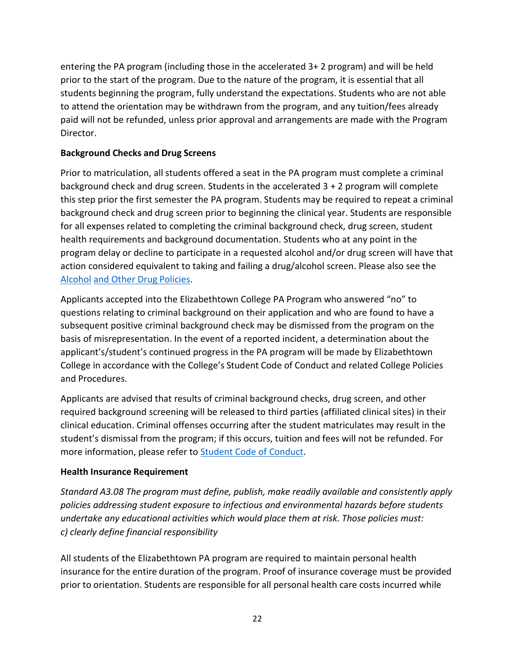entering the PA program (including those in the accelerated 3+ 2 program) and will be held prior to the start of the program. Due to the nature of the program, it is essential that all students beginning the program, fully understand the expectations. Students who are not able to attend the orientation may be withdrawn from the program, and any tuition/fees already paid will not be refunded, unless prior approval and arrangements are made with the Program Director.

# <span id="page-21-0"></span>**Background Checks and Drug Screens**

Prior to matriculation, all students offered a seat in the PA program must complete a criminal background check and drug screen. Students in the accelerated 3 + 2 program will complete this step prior the first semester the PA program. Students may be required to repeat a criminal background check and drug screen prior to beginning the clinical year. Students are responsible for all expenses related to completing the criminal background check, drug screen, student health requirements and background documentation. Students who at any point in the program delay or decline to participate in a requested alcohol and/or drug screen will have that action considered equivalent to taking and failing a drug/alcohol screen. Please also see the [Alcohol](https://catalog.etown.edu/content.php?catoid=19&navoid=958) [and Other](https://catalog.etown.edu/content.php?catoid=19&navoid=958) Drug Policies.

Applicants accepted into the Elizabethtown College PA Program who answered "no" to questions relating to criminal background on their application and who are found to have a subsequent positive criminal background check may be dismissed from the program on the basis of misrepresentation. In the event of a reported incident, a determination about the applicant's/student's continued progress in the PA program will be made by Elizabethtown College in accordance with the College's Student Code of Conduct and related College Policies and Procedures.

Applicants are advised that results of criminal background checks, drug screen, and other required background screening will be released to third parties (affiliated clinical sites) in their clinical education. Criminal offenses occurring after the student matriculates may result in the student's dismissal from the program; if this occurs, tuition and fees will not be refunded. For more information, please refer to **[Student Code](https://catalog.etown.edu/content.php?catoid=19&navoid=954&violation-of-law-and-college-conduct) of Conduct**.

# **Health Insurance Requirement**

*Standard A3.08 The program must define, publish, make readily available and consistently apply policies addressing student exposure to infectious and environmental hazards before students undertake any educational activities which would place them at risk. Those policies must: c) clearly define financial responsibility*

All students of the Elizabethtown PA program are required to maintain personal health insurance for the entire duration of the program. Proof of insurance coverage must be provided prior to orientation. Students are responsible for all personal health care costs incurred while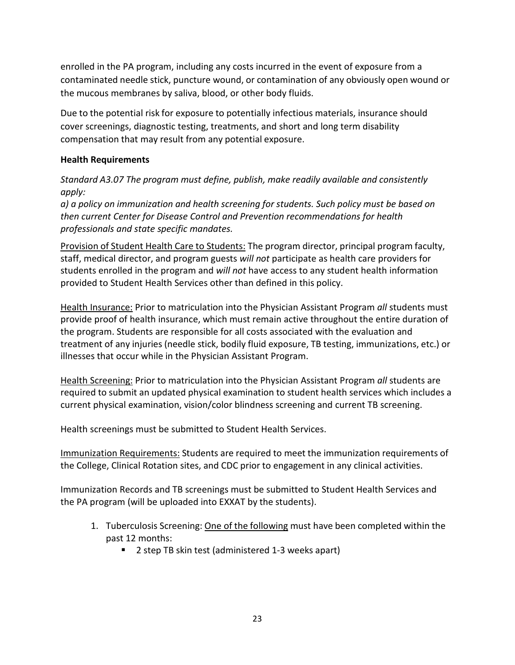enrolled in the PA program, including any costs incurred in the event of exposure from a contaminated needle stick, puncture wound, or contamination of any obviously open wound or the mucous membranes by saliva, blood, or other body fluids.

Due to the potential risk for exposure to potentially infectious materials, insurance should cover screenings, diagnostic testing, treatments, and short and long term disability compensation that may result from any potential exposure.

#### <span id="page-22-0"></span>**Health Requirements**

*Standard A3.07 The program must define, publish, make readily available and consistently apply:*

*a) a policy on immunization and health screening for students. Such policy must be based on then current Center for Disease Control and Prevention recommendations for health professionals and state specific mandates.*

Provision of Student Health Care to Students: The program director, principal program faculty, staff, medical director, and program guests *will not* participate as health care providers for students enrolled in the program and *will not* have access to any student health information provided to Student Health Services other than defined in this policy.

Health Insurance: Prior to matriculation into the Physician Assistant Program *all* students must provide proof of health insurance, which must remain active throughout the entire duration of the program. Students are responsible for all costs associated with the evaluation and treatment of any injuries (needle stick, bodily fluid exposure, TB testing, immunizations, etc.) or illnesses that occur while in the Physician Assistant Program.

Health Screening: Prior to matriculation into the Physician Assistant Program *all* students are required to submit an updated physical examination to student health services which includes a current physical examination, vision/color blindness screening and current TB screening.

Health screenings must be submitted to Student Health Services.

Immunization Requirements: Students are required to meet the immunization requirements of the College, Clinical Rotation sites, and CDC prior to engagement in any clinical activities.

Immunization Records and TB screenings must be submitted to Student Health Services and the PA program (will be uploaded into EXXAT by the students).

- 1. Tuberculosis Screening: One of the following must have been completed within the past 12 months:
	- 2 step TB skin test (administered 1-3 weeks apart)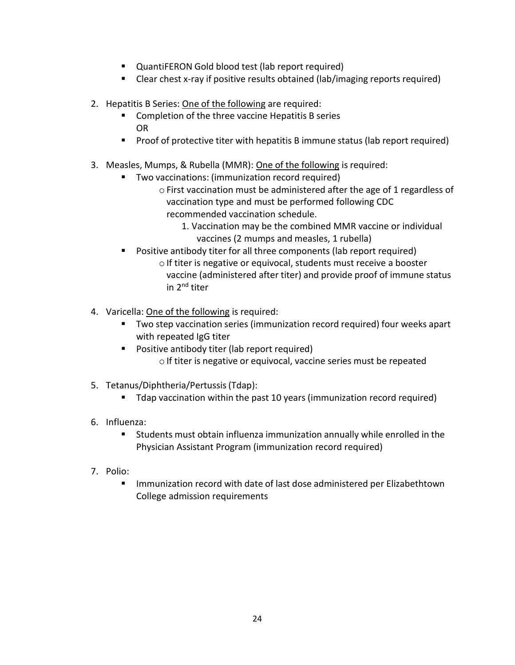- QuantiFERON Gold blood test (lab report required)
- Clear chest x-ray if positive results obtained (lab/imaging reports required)
- 2. Hepatitis B Series: One of the following are required:
	- Completion of the three vaccine Hepatitis B series OR
	- Proof of protective titer with hepatitis B immune status (lab report required)
- 3. Measles, Mumps, & Rubella (MMR): One of the following is required:
	- **Two vaccinations: (immunization record required)** 
		- oFirst vaccination must be administered after the age of 1 regardless of vaccination type and must be performed following CDC recommended vaccination schedule.
			- 1. Vaccination may be the combined MMR vaccine or individual vaccines (2 mumps and measles, 1 rubella)
		- Positive antibody titer for all three components (lab report required)  $\circ$  If titer is negative or equivocal, students must receive a booster vaccine (administered after titer) and provide proof of immune status in 2nd titer
- 4. Varicella: One of the following is required:
	- Two step vaccination series (immunization record required) four weeks apart with repeated IgG titer
	- **Positive antibody titer (lab report required)** o If titer is negative or equivocal, vaccine series must be repeated
- 5. Tetanus/Diphtheria/Pertussis(Tdap):
	- Tdap vaccination within the past 10 years (immunization record required)
- 6. Influenza:
	- Students must obtain influenza immunization annually while enrolled in the Physician Assistant Program (immunization record required)
- 7. Polio:
	- Immunization record with date of last dose administered per Elizabethtown College admission requirements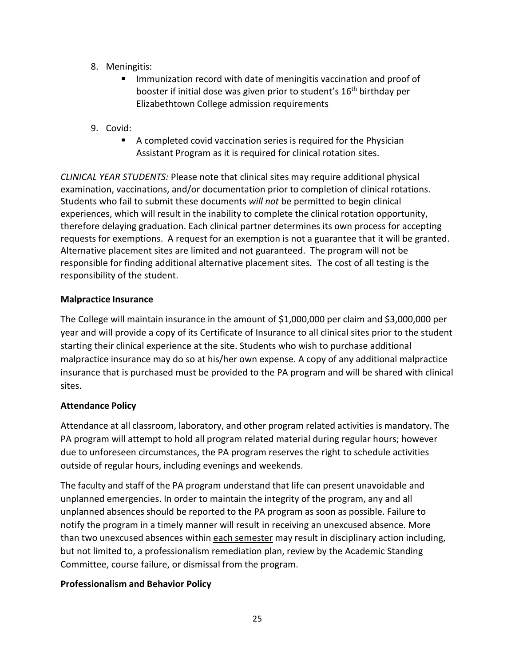- 8. Meningitis:
	- Immunization record with date of meningitis vaccination and proof of booster if initial dose was given prior to student's 16th birthday per Elizabethtown College admission requirements
- 9. Covid:
	- A completed covid vaccination series is required for the Physician Assistant Program as it is required for clinical rotation sites.

*CLINICAL YEAR STUDENTS:* Please note that clinical sites may require additional physical examination, vaccinations, and/or documentation prior to completion of clinical rotations. Students who fail to submit these documents *will not* be permitted to begin clinical experiences, which will result in the inability to complete the clinical rotation opportunity, therefore delaying graduation. Each clinical partner determines its own process for accepting requests for exemptions. A request for an exemption is not a guarantee that it will be granted. Alternative placement sites are limited and not guaranteed. The program will not be responsible for finding additional alternative placement sites. The cost of all testing is the responsibility of the student.

# <span id="page-24-0"></span>**Malpractice Insurance**

The College will maintain insurance in the amount of \$1,000,000 per claim and \$3,000,000 per year and will provide a copy of its Certificate of Insurance to all clinical sites prior to the student starting their clinical experience at the site. Students who wish to purchase additional malpractice insurance may do so at his/her own expense. A copy of any additional malpractice insurance that is purchased must be provided to the PA program and will be shared with clinical sites.

# <span id="page-24-1"></span>**Attendance Policy**

Attendance at all classroom, laboratory, and other program related activities is mandatory. The PA program will attempt to hold all program related material during regular hours; however due to unforeseen circumstances, the PA program reserves the right to schedule activities outside of regular hours, including evenings and weekends.

The faculty and staff of the PA program understand that life can present unavoidable and unplanned emergencies. In order to maintain the integrity of the program, any and all unplanned absences should be reported to the PA program as soon as possible. Failure to notify the program in a timely manner will result in receiving an unexcused absence. More than two unexcused absences within each semester may result in disciplinary action including, but not limited to, a professionalism remediation plan, review by the Academic Standing Committee, course failure, or dismissal from the program.

# <span id="page-24-2"></span>**Professionalism and Behavior Policy**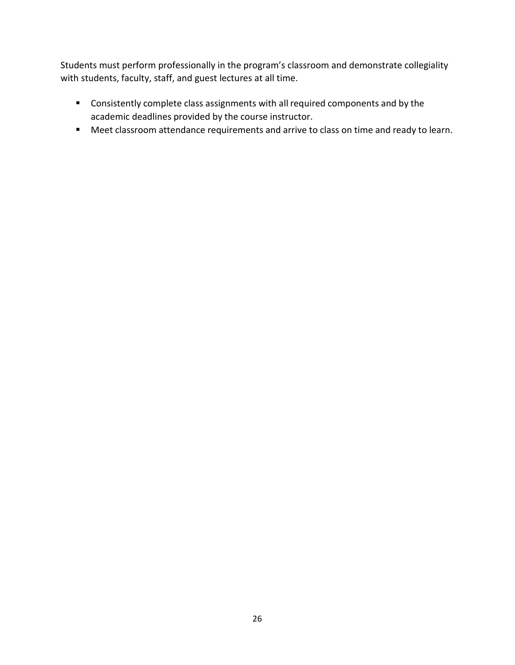Students must perform professionally in the program's classroom and demonstrate collegiality with students, faculty, staff, and guest lectures at all time.

- Consistently complete class assignments with all required components and by the academic deadlines provided by the course instructor.
- Meet classroom attendance requirements and arrive to class on time and ready to learn.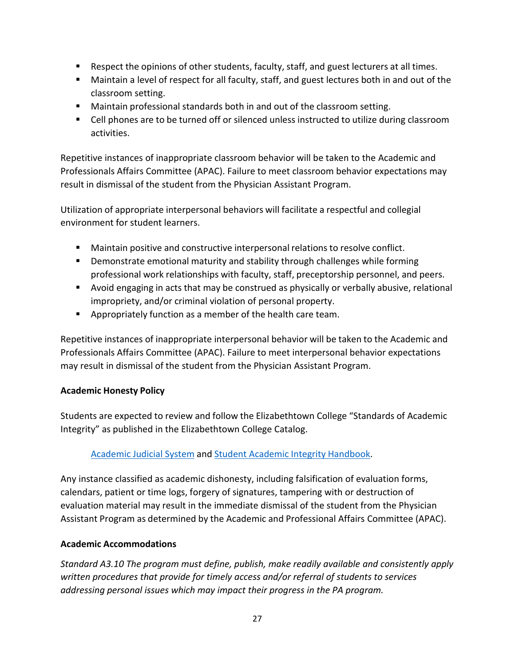- Respect the opinions of other students, faculty, staff, and guest lecturers at all times.
- Maintain a level of respect for all faculty, staff, and guest lectures both in and out of the classroom setting.
- Maintain professional standards both in and out of the classroom setting.
- Cell phones are to be turned off or silenced unless instructed to utilize during classroom activities.

Repetitive instances of inappropriate classroom behavior will be taken to the Academic and Professionals Affairs Committee (APAC). Failure to meet classroom behavior expectations may result in dismissal of the student from the Physician Assistant Program.

Utilization of appropriate interpersonal behaviors will facilitate a respectful and collegial environment for student learners.

- Maintain positive and constructive interpersonal relations to resolve conflict.
- **Demonstrate emotional maturity and stability through challenges while forming** professional work relationships with faculty, staff, preceptorship personnel, and peers.
- Avoid engaging in acts that may be construed as physically or verbally abusive, relational impropriety, and/or criminal violation of personal property.
- Appropriately function as a member of the health care team.

Repetitive instances of inappropriate interpersonal behavior will be taken to the Academic and Professionals Affairs Committee (APAC). Failure to meet interpersonal behavior expectations may result in dismissal of the student from the Physician Assistant Program.

# <span id="page-26-0"></span>**Academic Honesty Policy**

Students are expected to review and follow the Elizabethtown College "Standards of Academic Integrity" as published in the Elizabethtown College Catalog.

# [Academic](http://catalog.etown.edu/content.php?catoid=12&navoid=610%23Academic_Judicial_System) Judicial System and Student Academic Integrity [Handbook.](https://www.etown.edu/offices/dean-ofstudents/files/academic-integrity-handbook.pdf)

Any instance classified as academic dishonesty, including falsification of evaluation forms, calendars, patient or time logs, forgery of signatures, tampering with or destruction of evaluation material may result in the immediate dismissal of the student from the Physician Assistant Program as determined by the Academic and Professional Affairs Committee (APAC).

# <span id="page-26-1"></span>**Academic Accommodations**

*Standard A3.10 The program must define, publish, make readily available and consistently apply written procedures that provide for timely access and/or referral of students to services addressing personal issues which may impact their progress in the PA program.*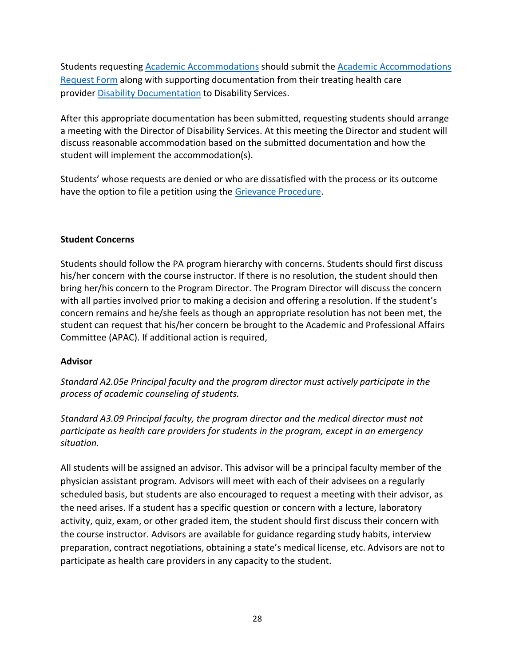Students requestin[g Academic Accommodations](https://www.etown.edu/offices/disability/accommodations.aspx) should submit the [Academic Accommodations](https://www.etown.edu/offices/disability/Academic%20Accommodation%20Form.2017.docx) [Request](https://www.etown.edu/offices/disability/Academic%20Accommodation%20Form.2017.docx) Form along with supporting documentation from their treating health care provider Disability [Documentation](https://www.etown.edu/offices/disability/Academic%20Disability%20Documentation%202019.doc) to Disability Services.

After this appropriate documentation has been submitted, requesting students should arrange a meeting with the Director of Disability Services. At this meeting the Director and student will discuss reasonable accommodation based on the submitted documentation and how the student will implement the accommodation(s).

Students' whose requests are denied or who are dissatisfied with the process or its outcome have the option to file a petition using the Grievance [Procedure.](https://www.etown.edu/offices/disability/Grievance_Procedure.aspx)

#### **Student Concerns**

Students should follow the PA program hierarchy with concerns. Students should first discuss his/her concern with the course instructor. If there is no resolution, the student should then bring her/his concern to the Program Director. The Program Director will discuss the concern with all parties involved prior to making a decision and offering a resolution. If the student's concern remains and he/she feels as though an appropriate resolution has not been met, the student can request that his/her concern be brought to the Academic and Professional Affairs Committee (APAC). If additional action is required,

# **Advisor**

*Standard A2.05e Principal faculty and the program director must actively participate in the process of academic counseling of students.*

*Standard A3.09 Principal faculty, the program director and the medical director must not participate as health care providers for students in the program, except in an emergency situation.*

All students will be assigned an advisor. This advisor will be a principal faculty member of the physician assistant program. Advisors will meet with each of their advisees on a regularly scheduled basis, but students are also encouraged to request a meeting with their advisor, as the need arises. If a student has a specific question or concern with a lecture, laboratory activity, quiz, exam, or other graded item, the student should first discuss their concern with the course instructor. Advisors are available for guidance regarding study habits, interview preparation, contract negotiations, obtaining a state's medical license, etc. Advisors are not to participate as health care providers in any capacity to the student.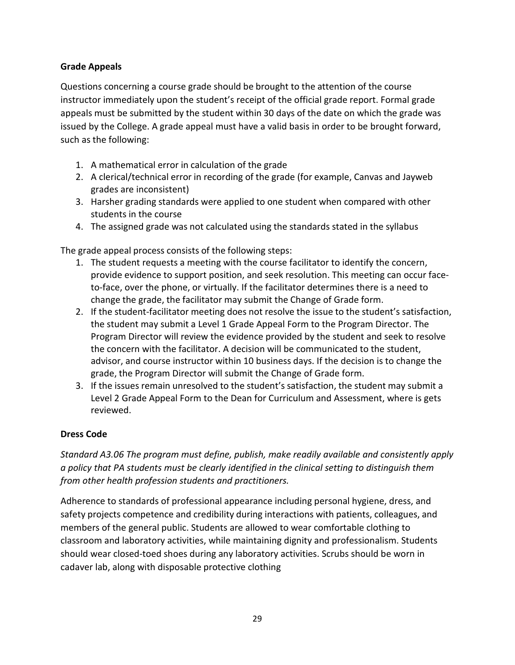# **Grade Appeals**

Questions concerning a course grade should be brought to the attention of the course instructor immediately upon the student's receipt of the official grade report. Formal grade appeals must be submitted by the student within 30 days of the date on which the grade was issued by the College. A grade appeal must have a valid basis in order to be brought forward, such as the following:

- 1. A mathematical error in calculation of the grade
- 2. A clerical/technical error in recording of the grade (for example, Canvas and Jayweb grades are inconsistent)
- 3. Harsher grading standards were applied to one student when compared with other students in the course
- 4. The assigned grade was not calculated using the standards stated in the syllabus

The grade appeal process consists of the following steps:

- 1. The student requests a meeting with the course facilitator to identify the concern, provide evidence to support position, and seek resolution. This meeting can occur faceto-face, over the phone, or virtually. If the facilitator determines there is a need to change the grade, the facilitator may submit the Change of Grade form.
- 2. If the student-facilitator meeting does not resolve the issue to the student's satisfaction, the student may submit a Level 1 Grade Appeal Form to the Program Director. The Program Director will review the evidence provided by the student and seek to resolve the concern with the facilitator. A decision will be communicated to the student, advisor, and course instructor within 10 business days. If the decision is to change the grade, the Program Director will submit the Change of Grade form.
- 3. If the issues remain unresolved to the student's satisfaction, the student may submit a Level 2 Grade Appeal Form to the Dean for Curriculum and Assessment, where is gets reviewed.

# **Dress Code**

*Standard A3.06 The program must define, publish, make readily available and consistently apply a policy that PA students must be clearly identified in the clinical setting to distinguish them from other health profession students and practitioners.*

Adherence to standards of professional appearance including personal hygiene, dress, and safety projects competence and credibility during interactions with patients, colleagues, and members of the general public. Students are allowed to wear comfortable clothing to classroom and laboratory activities, while maintaining dignity and professionalism. Students should wear closed-toed shoes during any laboratory activities. Scrubs should be worn in cadaver lab, along with disposable protective clothing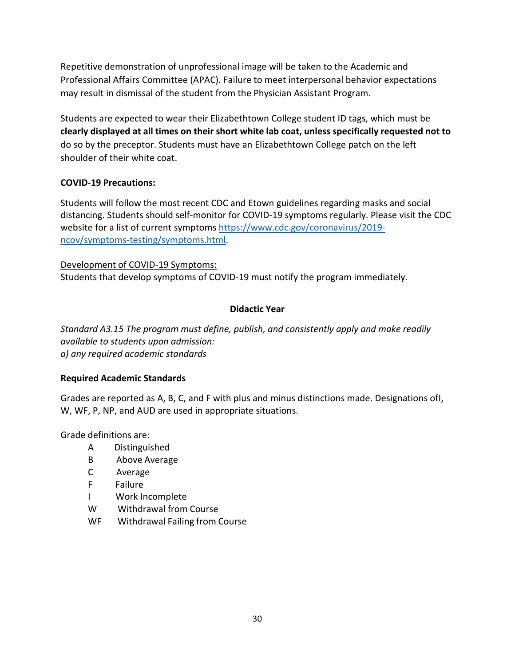Repetitive demonstration of unprofessional image will be taken to the Academic and Professional Affairs Committee (APAC). Failure to meet interpersonal behavior expectations may result in dismissal of the student from the Physician Assistant Program.

Students are expected to wear their Elizabethtown College student ID tags, which must be **clearly displayed at all times on their short white lab coat, unless specifically requested not to** do so by the preceptor. Students must have an Elizabethtown College patch on the left shoulder of their white coat.

# **COVID-19 Precautions:**

Students will follow the most recent CDC and Etown guidelines regarding masks and social distancing. Students should self-monitor for COVID-19 symptoms regularly. Please visit the CDC website for a list of current symptoms [https://www.cdc.gov/coronavirus/2019](https://www.cdc.gov/coronavirus/2019-ncov/symptoms-testing/symptoms.html) [ncov/symptoms-testing/symptoms.html.](https://www.cdc.gov/coronavirus/2019-ncov/symptoms-testing/symptoms.html)

Development of COVID-19 Symptoms: Students that develop symptoms of COVID-19 must notify the program immediately.

# **Didactic Year**

*Standard A3.15 The program must define, publish, and consistently apply and make readily available to students upon admission: a) any required academic standards*

# **Required Academic Standards**

Grades are reported as A, B, C, and F with plus and minus distinctions made. Designations ofI, W, WF, P, NP, and AUD are used in appropriate situations.

Grade definitions are:

- A Distinguished
- B Above Average
- C Average
- F Failure
- I Work Incomplete
- W Withdrawal from Course
- WF Withdrawal Failing from Course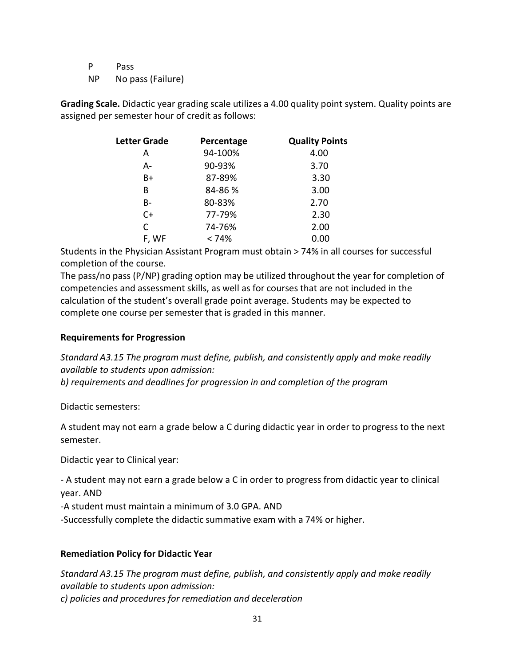P Pass

NP No pass (Failure)

**Grading Scale.** Didactic year grading scale utilizes a 4.00 quality point system. Quality points are assigned per semester hour of credit as follows:

| <b>Letter Grade</b> | Percentage | <b>Quality Points</b> |
|---------------------|------------|-----------------------|
| А                   | 94-100%    | 4.00                  |
| А-                  | 90-93%     | 3.70                  |
| B+                  | 87-89%     | 3.30                  |
| В                   | 84-86 %    | 3.00                  |
| B-                  | 80-83%     | 2.70                  |
| $C+$                | 77-79%     | 2.30                  |
| C                   | 74-76%     | 2.00                  |
| F, WF               | < 74%      | 0.00                  |

Students in the Physician Assistant Program must obtain  $\geq$  74% in all courses for successful completion of the course.

The pass/no pass (P/NP) grading option may be utilized throughout the year for completion of competencies and assessment skills, as well as for courses that are not included in the calculation of the student's overall grade point average. Students may be expected to complete one course per semester that is graded in this manner.

#### **Requirements for Progression**

*Standard A3.15 The program must define, publish, and consistently apply and make readily available to students upon admission:*

*b) requirements and deadlines for progression in and completion of the program*

Didactic semesters:

A student may not earn a grade below a C during didactic year in order to progress to the next semester.

Didactic year to Clinical year:

- A student may not earn a grade below a C in order to progress from didactic year to clinical year. AND

-A student must maintain a minimum of 3.0 GPA. AND

-Successfully complete the didactic summative exam with a 74% or higher.

# **Remediation Policy for Didactic Year**

*Standard A3.15 The program must define, publish, and consistently apply and make readily available to students upon admission: c) policies and procedures for remediation and deceleration*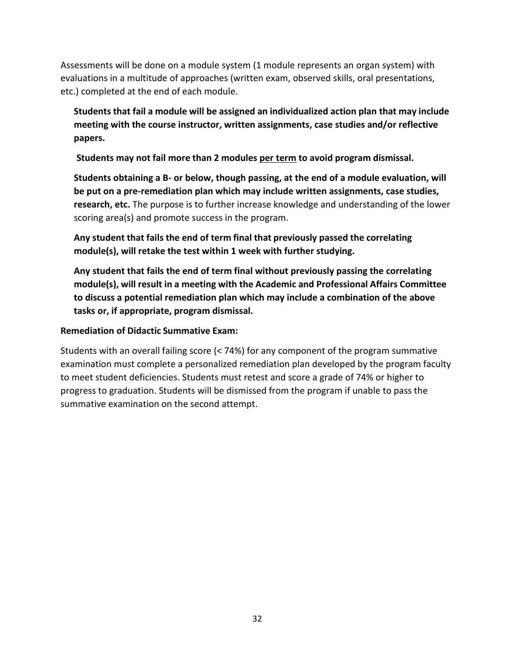Assessments will be done on a module system (1 module represents an organ system) with evaluations in a multitude of approaches (written exam, observed skills, oral presentations, etc.) completed at the end of each module.

**Students that fail a module will be assigned an individualized action plan that may include meeting with the course instructor, written assignments, case studies and/or reflective papers.**

**Students may not fail more than 2 modules per term to avoid program dismissal.**

**Students obtaining a B- or below, though passing, at the end of a module evaluation, will be put on a pre-remediation plan which may include written assignments, case studies, research, etc.** The purpose is to further increase knowledge and understanding of the lower scoring area(s) and promote success in the program.

**Any student that fails the end of term final that previously passed the correlating module(s), will retake the test within 1 week with further studying.**

**Any student that fails the end of term final without previously passing the correlating module(s), will result in a meeting with the Academic and Professional Affairs Committee to discuss a potential remediation plan which may include a combination of the above tasks or, if appropriate, program dismissal.**

**Remediation of Didactic Summative Exam:**

Students with an overall failing score (< 74%) for any component of the program summative examination must complete a personalized remediation plan developed by the program faculty to meet student deficiencies. Students must retest and score a grade of 74% or higher to progress to graduation. Students will be dismissed from the program if unable to pass the summative examination on the second attempt.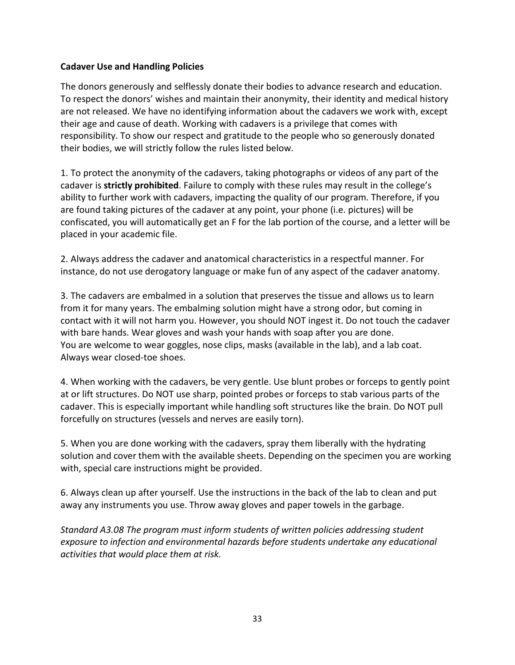#### **Cadaver Use and Handling Policies**

The donors generously and selflessly donate their bodies to advance research and education. To respect the donors' wishes and maintain their anonymity, their identity and medical history are not released. We have no identifying information about the cadavers we work with, except their age and cause of death. Working with cadavers is a privilege that comes with responsibility. To show our respect and gratitude to the people who so generously donated their bodies, we will strictly follow the rules listed below.

1. To protect the anonymity of the cadavers, taking photographs or videos of any part of the cadaver is **strictly prohibited**. Failure to comply with these rules may result in the college's ability to further work with cadavers, impacting the quality of our program. Therefore, if you are found taking pictures of the cadaver at any point, your phone (i.e. pictures) will be confiscated, you will automatically get an F for the lab portion of the course, and a letter will be placed in your academic file.

2. Always address the cadaver and anatomical characteristics in a respectful manner. For instance, do not use derogatory language or make fun of any aspect of the cadaver anatomy.

3. The cadavers are embalmed in a solution that preserves the tissue and allows us to learn from it for many years. The embalming solution might have a strong odor, but coming in contact with it will not harm you. However, you should NOT ingest it. Do not touch the cadaver with bare hands. Wear gloves and wash your hands with soap after you are done. You are welcome to wear goggles, nose clips, masks (available in the lab), and a lab coat. Always wear closed-toe shoes.

4. When working with the cadavers, be very gentle. Use blunt probes or forceps to gently point at or lift structures. Do NOT use sharp, pointed probes or forceps to stab various parts of the cadaver. This is especially important while handling soft structures like the brain. Do NOT pull forcefully on structures (vessels and nerves are easily torn).

5. When you are done working with the cadavers, spray them liberally with the hydrating solution and cover them with the available sheets. Depending on the specimen you are working with, special care instructions might be provided.

6. Always clean up after yourself. Use the instructions in the back of the lab to clean and put away any instruments you use. Throw away gloves and paper towels in the garbage.

*Standard A3.08 The program must inform students of written policies addressing student exposure to infection and environmental hazards before students undertake any educational activities that would place them at risk.*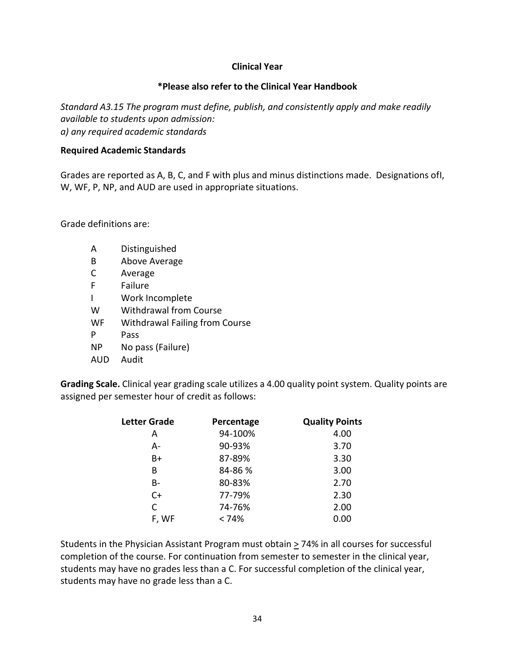#### **Clinical Year**

#### **\*Please also refer to the Clinical Year Handbook**

*Standard A3.15 The program must define, publish, and consistently apply and make readily available to students upon admission: a) any required academic standards*

#### **Required Academic Standards**

Grades are reported as A, B, C, and F with plus and minus distinctions made. Designations ofI, W, WF, P, NP, and AUD are used in appropriate situations.

Grade definitions are:

- A Distinguished
- B Above Average
- C Average
- F Failure
- I Work Incomplete
- W Withdrawal from Course
- WF Withdrawal Failing from Course
- P Pass
- NP No pass (Failure)
- AUD Audit

**Grading Scale.** Clinical year grading scale utilizes a 4.00 quality point system. Quality points are assigned per semester hour of credit as follows:

| <b>Letter Grade</b> | Percentage | <b>Quality Points</b> |
|---------------------|------------|-----------------------|
| A                   | 94-100%    | 4.00                  |
| А-                  | 90-93%     | 3.70                  |
| B+                  | 87-89%     | 3.30                  |
| В                   | 84-86 %    | 3.00                  |
| B-                  | 80-83%     | 2.70                  |
| $C+$                | 77-79%     | 2.30                  |
| С                   | 74-76%     | 2.00                  |
| F, WF               | < 74%      | 0.00                  |

Students in the Physician Assistant Program must obtain  $\geq$  74% in all courses for successful completion of the course. For continuation from semester to semester in the clinical year, students may have no grades less than a C. For successful completion of the clinical year, students may have no grade less than a C.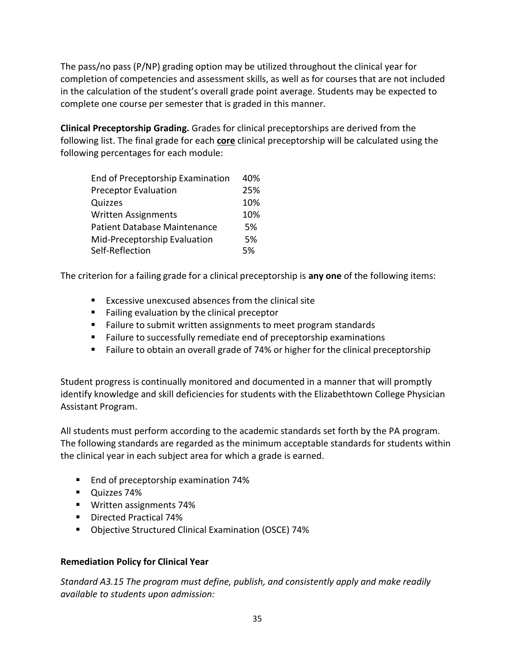The pass/no pass (P/NP) grading option may be utilized throughout the clinical year for completion of competencies and assessment skills, as well as for courses that are not included in the calculation of the student's overall grade point average. Students may be expected to complete one course per semester that is graded in this manner.

**Clinical Preceptorship Grading.** Grades for clinical preceptorships are derived from the following list. The final grade for each **core** clinical preceptorship will be calculated using the following percentages for each module:

| End of Preceptorship Examination    | 40% |
|-------------------------------------|-----|
| <b>Preceptor Evaluation</b>         | 25% |
| Quizzes                             | 10% |
| Written Assignments                 | 10% |
| <b>Patient Database Maintenance</b> | 5%  |
| Mid-Preceptorship Evaluation        | 5%  |
| Self-Reflection                     | 5%  |
|                                     |     |

The criterion for a failing grade for a clinical preceptorship is **any one** of the following items:

- **EXCESSIVE UNEXCUSED ASSESS** from the clinical site
- **Failing evaluation by the clinical preceptor**
- Failure to submit written assignments to meet program standards
- **Failure to successfully remediate end of preceptorship examinations**
- **Failure to obtain an overall grade of 74% or higher for the clinical preceptorship**

Student progress is continually monitored and documented in a manner that will promptly identify knowledge and skill deficiencies for students with the Elizabethtown College Physician Assistant Program.

All students must perform according to the academic standards set forth by the PA program. The following standards are regarded as the minimum acceptable standards for students within the clinical year in each subject area for which a grade is earned.

- **End of preceptorship examination 74%**
- **Quizzes 74%**
- **Written assignments 74%**
- **Directed Practical 74%**
- Objective Structured Clinical Examination (OSCE) 74%

#### **Remediation Policy for Clinical Year**

*Standard A3.15 The program must define, publish, and consistently apply and make readily available to students upon admission:*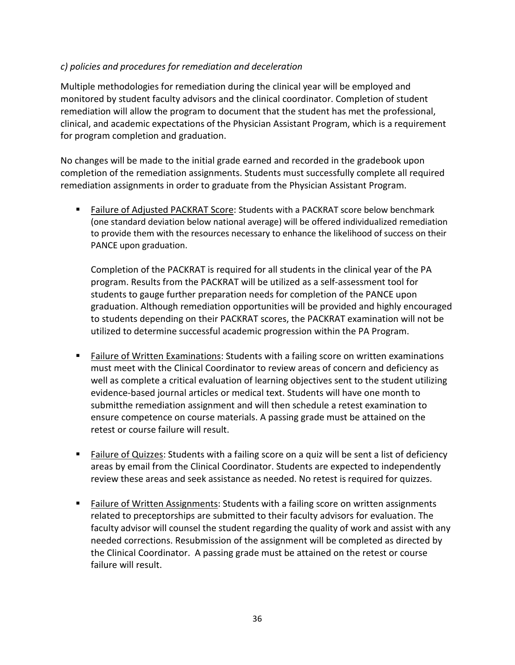# *c) policies and procedures for remediation and deceleration*

Multiple methodologies for remediation during the clinical year will be employed and monitored by student faculty advisors and the clinical coordinator. Completion of student remediation will allow the program to document that the student has met the professional, clinical, and academic expectations of the Physician Assistant Program, which is a requirement for program completion and graduation.

No changes will be made to the initial grade earned and recorded in the gradebook upon completion of the remediation assignments. Students must successfully complete all required remediation assignments in order to graduate from the Physician Assistant Program.

 Failure of Adjusted PACKRAT Score: Students with a PACKRAT score below benchmark (one standard deviation below national average) will be offered individualized remediation to provide them with the resources necessary to enhance the likelihood of success on their PANCE upon graduation.

Completion of the PACKRAT is required for all students in the clinical year of the PA program. Results from the PACKRAT will be utilized as a self-assessment tool for students to gauge further preparation needs for completion of the PANCE upon graduation. Although remediation opportunities will be provided and highly encouraged to students depending on their PACKRAT scores, the PACKRAT examination will not be utilized to determine successful academic progression within the PA Program.

- **Failure of Written Examinations: Students with a failing score on written examinations** must meet with the Clinical Coordinator to review areas of concern and deficiency as well as complete a critical evaluation of learning objectives sent to the student utilizing evidence-based journal articles or medical text. Students will have one month to submitthe remediation assignment and will then schedule a retest examination to ensure competence on course materials. A passing grade must be attained on the retest or course failure will result.
- **Eailure of Quizzes:** Students with a failing score on a quiz will be sent a list of deficiency areas by email from the Clinical Coordinator. Students are expected to independently review these areas and seek assistance as needed. No retest is required for quizzes.
- Failure of Written Assignments: Students with a failing score on written assignments related to preceptorships are submitted to their faculty advisors for evaluation. The faculty advisor will counsel the student regarding the quality of work and assist with any needed corrections. Resubmission of the assignment will be completed as directed by the Clinical Coordinator. A passing grade must be attained on the retest or course failure will result.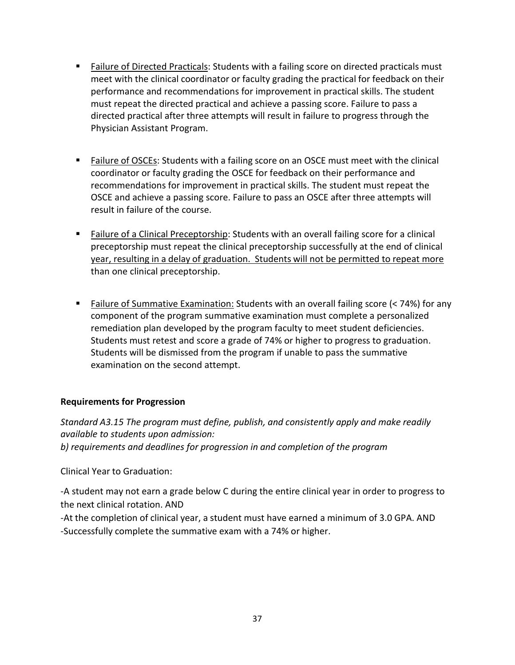- **Failure of Directed Practicals: Students with a failing score on directed practicals must** meet with the clinical coordinator or faculty grading the practical for feedback on their performance and recommendations for improvement in practical skills. The student must repeat the directed practical and achieve a passing score. Failure to pass a directed practical after three attempts will result in failure to progress through the Physician Assistant Program.
- **Failure of OSCEs: Students with a failing score on an OSCE must meet with the clinical** coordinator or faculty grading the OSCE for feedback on their performance and recommendations for improvement in practical skills. The student must repeat the OSCE and achieve a passing score. Failure to pass an OSCE after three attempts will result in failure of the course.
- Failure of a Clinical Preceptorship: Students with an overall failing score for a clinical preceptorship must repeat the clinical preceptorship successfully at the end of clinical year, resulting in a delay of graduation. Students will not be permitted to repeat more than one clinical preceptorship.
- Failure of Summative Examination: Students with an overall failing score (< 74%) for any component of the program summative examination must complete a personalized remediation plan developed by the program faculty to meet student deficiencies. Students must retest and score a grade of 74% or higher to progress to graduation. Students will be dismissed from the program if unable to pass the summative examination on the second attempt.

# **Requirements for Progression**

*Standard A3.15 The program must define, publish, and consistently apply and make readily available to students upon admission: b) requirements and deadlines for progression in and completion of the program*

Clinical Year to Graduation:

-A student may not earn a grade below C during the entire clinical year in order to progress to the next clinical rotation. AND

-At the completion of clinical year, a student must have earned a minimum of 3.0 GPA. AND -Successfully complete the summative exam with a 74% or higher.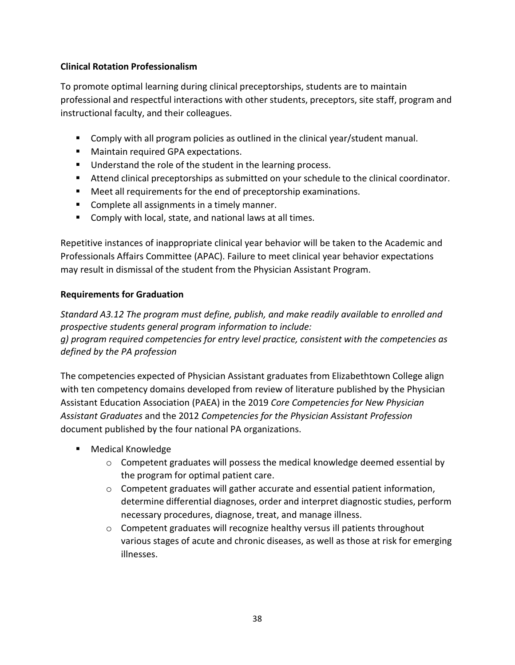# **Clinical Rotation Professionalism**

To promote optimal learning during clinical preceptorships, students are to maintain professional and respectful interactions with other students, preceptors, site staff, program and instructional faculty, and their colleagues.

- **Comply with all program policies as outlined in the clinical year/student manual.**
- **Maintain required GPA expectations.**
- **Understand the role of the student in the learning process.**
- Attend clinical preceptorships as submitted on your schedule to the clinical coordinator.
- Meet all requirements for the end of preceptorship examinations.
- **Complete all assignments in a timely manner.**
- **Comply with local, state, and national laws at all times.**

Repetitive instances of inappropriate clinical year behavior will be taken to the Academic and Professionals Affairs Committee (APAC). Failure to meet clinical year behavior expectations may result in dismissal of the student from the Physician Assistant Program.

# **Requirements for Graduation**

*Standard A3.12 The program must define, publish, and make readily available to enrolled and prospective students general program information to include: g) program required competencies for entry level practice, consistent with the competencies as defined by the PA profession*

The competencies expected of Physician Assistant graduates from Elizabethtown College align with ten competency domains developed from review of literature published by the Physician Assistant Education Association (PAEA) in the 2019 *Core Competencies for New Physician Assistant Graduates* and the 2012 *Competencies for the Physician Assistant Profession* document published by the four national PA organizations.

- **Medical Knowledge** 
	- $\circ$  Competent graduates will possess the medical knowledge deemed essential by the program for optimal patient care.
	- $\circ$  Competent graduates will gather accurate and essential patient information, determine differential diagnoses, order and interpret diagnostic studies, perform necessary procedures, diagnose, treat, and manage illness.
	- $\circ$  Competent graduates will recognize healthy versus ill patients throughout various stages of acute and chronic diseases, as well as those at risk for emerging illnesses.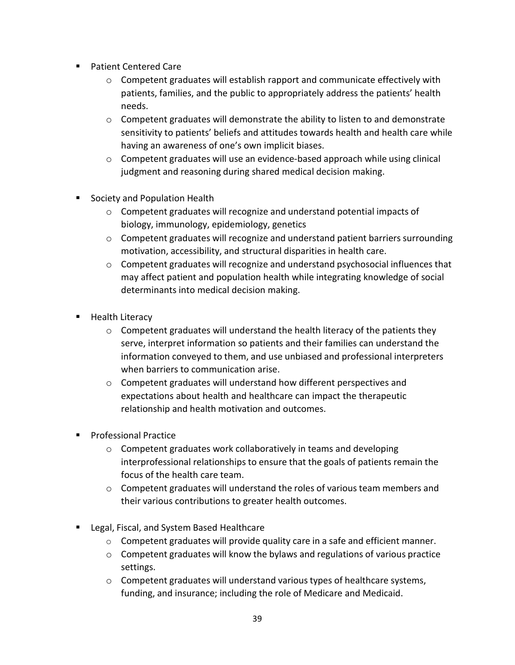- Patient Centered Care
	- $\circ$  Competent graduates will establish rapport and communicate effectively with patients, families, and the public to appropriately address the patients' health needs.
	- o Competent graduates will demonstrate the ability to listen to and demonstrate sensitivity to patients' beliefs and attitudes towards health and health care while having an awareness of one's own implicit biases.
	- $\circ$  Competent graduates will use an evidence-based approach while using clinical judgment and reasoning during shared medical decision making.
- **Society and Population Health** 
	- o Competent graduates will recognize and understand potential impacts of biology, immunology, epidemiology, genetics
	- o Competent graduates will recognize and understand patient barriers surrounding motivation, accessibility, and structural disparities in health care.
	- $\circ$  Competent graduates will recognize and understand psychosocial influences that may affect patient and population health while integrating knowledge of social determinants into medical decision making.
- **Health Literacy** 
	- $\circ$  Competent graduates will understand the health literacy of the patients they serve, interpret information so patients and their families can understand the information conveyed to them, and use unbiased and professional interpreters when barriers to communication arise.
	- o Competent graduates will understand how different perspectives and expectations about health and healthcare can impact the therapeutic relationship and health motivation and outcomes.
- **Professional Practice** 
	- o Competent graduates work collaboratively in teams and developing interprofessional relationships to ensure that the goals of patients remain the focus of the health care team.
	- $\circ$  Competent graduates will understand the roles of various team members and their various contributions to greater health outcomes.
- **Legal, Fiscal, and System Based Healthcare** 
	- $\circ$  Competent graduates will provide quality care in a safe and efficient manner.
	- o Competent graduates will know the bylaws and regulations of various practice settings.
	- $\circ$  Competent graduates will understand various types of healthcare systems, funding, and insurance; including the role of Medicare and Medicaid.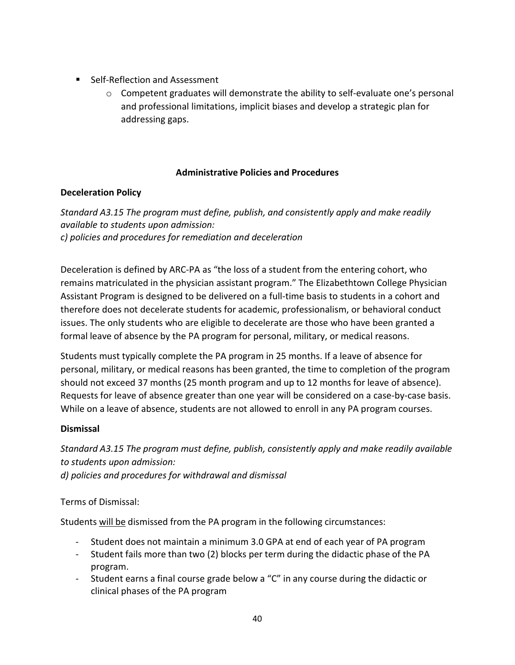- Self-Reflection and Assessment
	- $\circ$  Competent graduates will demonstrate the ability to self-evaluate one's personal and professional limitations, implicit biases and develop a strategic plan for addressing gaps.

# **Administrative Policies and Procedures**

# **Deceleration Policy**

*Standard A3.15 The program must define, publish, and consistently apply and make readily available to students upon admission: c) policies and procedures for remediation and deceleration*

Deceleration is defined by ARC-PA as "the loss of a student from the entering cohort, who remains matriculated in the physician assistant program." The Elizabethtown College Physician Assistant Program is designed to be delivered on a full-time basis to students in a cohort and therefore does not decelerate students for academic, professionalism, or behavioral conduct issues. The only students who are eligible to decelerate are those who have been granted a formal leave of absence by the PA program for personal, military, or medical reasons.

Students must typically complete the PA program in 25 months. If a leave of absence for personal, military, or medical reasons has been granted, the time to completion of the program should not exceed 37 months (25 month program and up to 12 months for leave of absence). Requests for leave of absence greater than one year will be considered on a case-by-case basis. While on a leave of absence, students are not allowed to enroll in any PA program courses.

# **Dismissal**

*Standard A3.15 The program must define, publish, consistently apply and make readily available to students upon admission: d) policies and procedures for withdrawal and dismissal*

Terms of Dismissal:

Students will be dismissed from the PA program in the following circumstances:

- Student does not maintain a minimum 3.0 GPA at end of each year of PA program
- Student fails more than two (2) blocks per term during the didactic phase of the PA program.
- Student earns a final course grade below a "C" in any course during the didactic or clinical phases of the PA program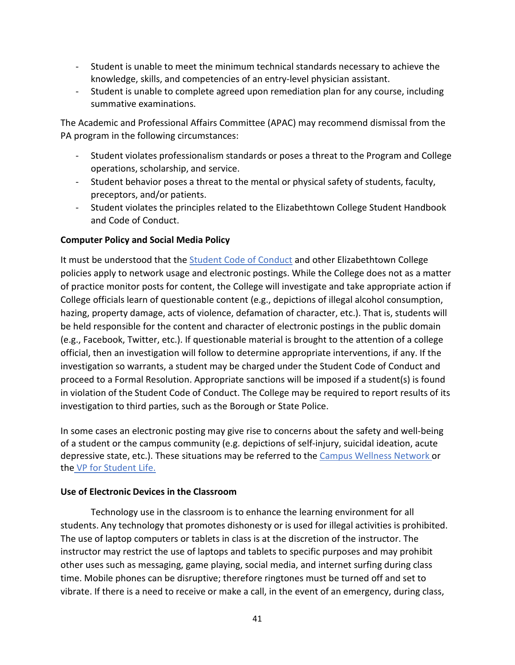- Student is unable to meet the minimum technical standards necessary to achieve the knowledge, skills, and competencies of an entry-level physician assistant.
- Student is unable to complete agreed upon remediation plan for any course, including summative examinations.

The Academic and Professional Affairs Committee (APAC) may recommend dismissal from the PA program in the following circumstances:

- Student violates professionalism standards or poses a threat to the Program and College operations, scholarship, and service.
- Student behavior poses a threat to the mental or physical safety of students, faculty, preceptors, and/or patients.
- Student violates the principles related to the Elizabethtown College Student Handbook and Code of Conduct.

# **Computer Policy and Social Media Policy**

It must be understood that the [Student Code of Conduct](https://catalog.etown.edu/content.php?catoid=22&navoid=1086) and other Elizabethtown College policies apply to network usage and electronic postings. While the College does not as a matter of practice monitor posts for content, the College will investigate and take appropriate action if College officials learn of questionable content (e.g., depictions of illegal alcohol consumption, hazing, property damage, acts of violence, defamation of character, etc.). That is, students will be held responsible for the content and character of electronic postings in the public domain (e.g., Facebook, Twitter, etc.). If questionable material is brought to the attention of a college official, then an investigation will follow to determine appropriate interventions, if any. If the investigation so warrants, a student may be charged under the Student Code of Conduct and proceed to a Formal Resolution. Appropriate sanctions will be imposed if a student(s) is found in violation of the Student Code of Conduct. The College may be required to report results of its investigation to third parties, such as the Borough or State Police.

In some cases an electronic posting may give rise to concerns about the safety and well-being of a student or the campus community (e.g. depictions of self-injury, suicidal ideation, acute depressive state, etc.). These situations may be referred to the [Campus Wellness Network o](https://www.etown.edu/offices/student-success/campus-wellness-network.aspx)r the VP for [Student](https://www.etown.edu/offices/vp-student-life/about.aspx) Life.

#### **Use of Electronic Devices in the Classroom**

Technology use in the classroom is to enhance the learning environment for all students. Any technology that promotes dishonesty or is used for illegal activities is prohibited. The use of laptop computers or tablets in class is at the discretion of the instructor. The instructor may restrict the use of laptops and tablets to specific purposes and may prohibit other uses such as messaging, game playing, social media, and internet surfing during class time. Mobile phones can be disruptive; therefore ringtones must be turned off and set to vibrate. If there is a need to receive or make a call, in the event of an emergency, during class,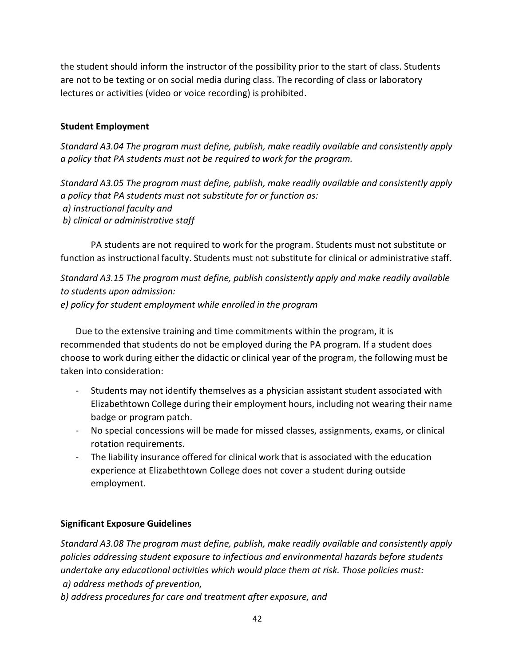the student should inform the instructor of the possibility prior to the start of class. Students are not to be texting or on social media during class. The recording of class or laboratory lectures or activities (video or voice recording) is prohibited.

# **Student Employment**

*Standard A3.04 The program must define, publish, make readily available and consistently apply a policy that PA students must not be required to work for the program.*

*Standard A3.05 The program must define, publish, make readily available and consistently apply a policy that PA students must not substitute for or function as: a) instructional faculty and b) clinical or administrative staff*

PA students are not required to work for the program. Students must not substitute or function as instructional faculty. Students must not substitute for clinical or administrative staff.

*Standard A3.15 The program must define, publish consistently apply and make readily available to students upon admission: e) policy for student employment while enrolled in the program*

Due to the extensive training and time commitments within the program, it is recommended that students do not be employed during the PA program. If a student does choose to work during either the didactic or clinical year of the program, the following must be taken into consideration:

- Students may not identify themselves as a physician assistant student associated with Elizabethtown College during their employment hours, including not wearing their name badge or program patch.
- No special concessions will be made for missed classes, assignments, exams, or clinical rotation requirements.
- The liability insurance offered for clinical work that is associated with the education experience at Elizabethtown College does not cover a student during outside employment.

# **Significant Exposure Guidelines**

*Standard A3.08 The program must define, publish, make readily available and consistently apply policies addressing student exposure to infectious and environmental hazards before students undertake any educational activities which would place them at risk. Those policies must: a) address methods of prevention,*

*b) address procedures for care and treatment after exposure, and*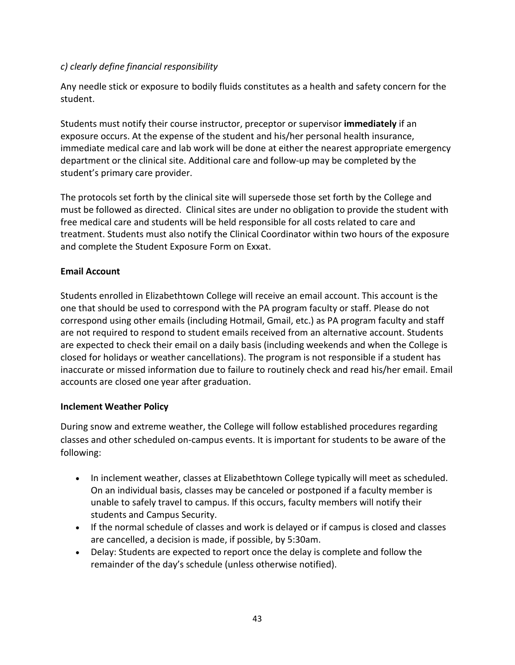# *c) clearly define financial responsibility*

Any needle stick or exposure to bodily fluids constitutes as a health and safety concern for the student.

Students must notify their course instructor, preceptor or supervisor **immediately** if an exposure occurs. At the expense of the student and his/her personal health insurance, immediate medical care and lab work will be done at either the nearest appropriate emergency department or the clinical site. Additional care and follow-up may be completed by the student's primary care provider.

The protocols set forth by the clinical site will supersede those set forth by the College and must be followed as directed. Clinical sites are under no obligation to provide the student with free medical care and students will be held responsible for all costs related to care and treatment. Students must also notify the Clinical Coordinator within two hours of the exposure and complete the Student Exposure Form on Exxat.

# **Email Account**

Students enrolled in Elizabethtown College will receive an email account. This account is the one that should be used to correspond with the PA program faculty or staff. Please do not correspond using other emails (including Hotmail, Gmail, etc.) as PA program faculty and staff are not required to respond to student emails received from an alternative account. Students are expected to check their email on a daily basis (including weekends and when the College is closed for holidays or weather cancellations). The program is not responsible if a student has inaccurate or missed information due to failure to routinely check and read his/her email. Email accounts are closed one year after graduation.

# **Inclement Weather Policy**

During snow and extreme weather, the College will follow established procedures regarding classes and other scheduled on-campus events. It is important for students to be aware of the following:

- In inclement weather, classes at Elizabethtown College typically will meet as scheduled. On an individual basis, classes may be canceled or postponed if a faculty member is unable to safely travel to campus. If this occurs, faculty members will notify their students and Campus Security.
- If the normal schedule of classes and work is delayed or if campus is closed and classes are cancelled, a decision is made, if possible, by 5:30am.
- Delay: Students are expected to report once the delay is complete and follow the remainder of the day's schedule (unless otherwise notified).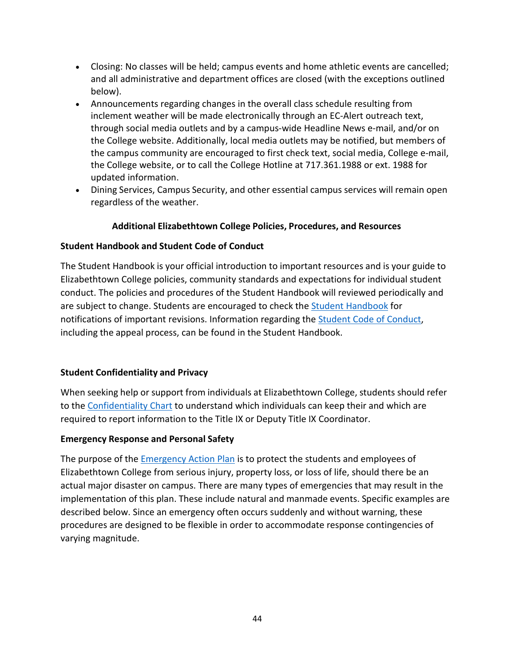- Closing: No classes will be held; campus events and home athletic events are cancelled; and all administrative and department offices are closed (with the exceptions outlined below).
- Announcements regarding changes in the overall class schedule resulting from inclement weather will be made electronically through an EC-Alert outreach text, through social media outlets and by a campus-wide Headline News e-mail, and/or on the College website. Additionally, local media outlets may be notified, but members of the campus community are encouraged to first check text, social media, College e-mail, the College website, or to call the College Hotline at 717.361.1988 or ext. 1988 for updated information.
- Dining Services, Campus Security, and other essential campus services will remain open regardless of the weather.

# **Additional Elizabethtown College Policies, Procedures, and Resources**

# **Student Handbook and Student Code of Conduct**

The Student Handbook is your official introduction to important resources and is your guide to Elizabethtown College policies, community standards and expectations for individual student conduct. The policies and procedures of the Student Handbook will reviewed periodically and are subject to change. Students are encouraged to check the [Student Handbook](https://catalog.etown.edu/index.php?catoid=19) for notifications of important revisions. Information regarding the [Student Code of Conduct,](https://www.etown.edu/offices/student-rights/processes.aspx) including the appeal process, can be found in the Student Handbook.

# <span id="page-43-0"></span>**Student Confidentiality and Privacy**

When seeking help or support from individuals at Elizabethtown College, students should refer to the [Confidentiality Chart](https://www.etown.edu/offices/diversity/titleix/students/confidentiality.aspx) to understand which individuals can keep their and which are required to report information to the Title IX or Deputy Title IX Coordinator.

# <span id="page-43-1"></span>**Emergency Response and Personal Safety**

The purpose of the **Emergency Action Plan** is to protect the students and employees of Elizabethtown College from serious injury, property loss, or loss of life, should there be an actual major disaster on campus. There are many types of emergencies that may result in the implementation of this plan. These include natural and manmade events. Specific examples are described below. Since an emergency often occurs suddenly and without warning, these procedures are designed to be flexible in order to accommodate response contingencies of varying magnitude.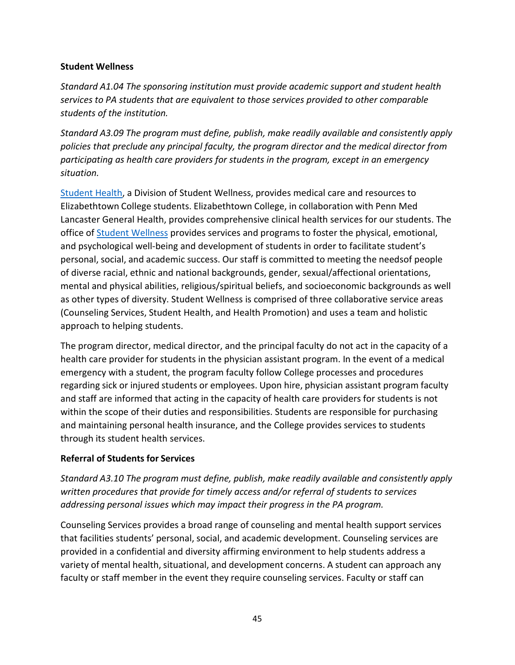#### <span id="page-44-0"></span>**Student Wellness**

*Standard A1.04 The sponsoring institution must provide academic support and student health services to PA students that are equivalent to those services provided to other comparable students of the institution.*

*Standard A3.09 The program must define, publish, make readily available and consistently apply policies that preclude any principal faculty, the program director and the medical director from participating as health care providers for students in the program, except in an emergency situation.*

[Student Health,](https://www.etown.edu/offices/health/index.aspx) a Division of Student Wellness, provides medical care and resources to Elizabethtown College students. Elizabethtown College, in collaboration with Penn Med Lancaster General Health, provides comprehensive clinical health services for our students. The office of [Student Wellness](https://www.etown.edu/offices/wellness/index.aspx) provides services and programs to foster the physical, emotional, and psychological well-being and development of students in order to facilitate student's personal, social, and academic success. Our staff is committed to meeting the needsof people of diverse racial, ethnic and national backgrounds, gender, sexual/affectional orientations, mental and physical abilities, religious/spiritual beliefs, and socioeconomic backgrounds as well as other types of diversity. Student Wellness is comprised of three collaborative service areas (Counseling Services, Student Health, and Health Promotion) and uses a team and holistic approach to helping students.

The program director, medical director, and the principal faculty do not act in the capacity of a health care provider for students in the physician assistant program. In the event of a medical emergency with a student, the program faculty follow College processes and procedures regarding sick or injured students or employees. Upon hire, physician assistant program faculty and staff are informed that acting in the capacity of health care providers for students is not within the scope of their duties and responsibilities. Students are responsible for purchasing and maintaining personal health insurance, and the College provides services to students through its student health services.

# <span id="page-44-1"></span>**Referral of Students for Services**

*Standard A3.10 The program must define, publish, make readily available and consistently apply written procedures that provide for timely access and/or referral of students to services addressing personal issues which may impact their progress in the PA program.*

Counseling Services provides a broad range of counseling and mental health support services that facilities students' personal, social, and academic development. Counseling services are provided in a confidential and diversity affirming environment to help students address a variety of mental health, situational, and development concerns. A student can approach any faculty or staff member in the event they require counseling services. Faculty or staff can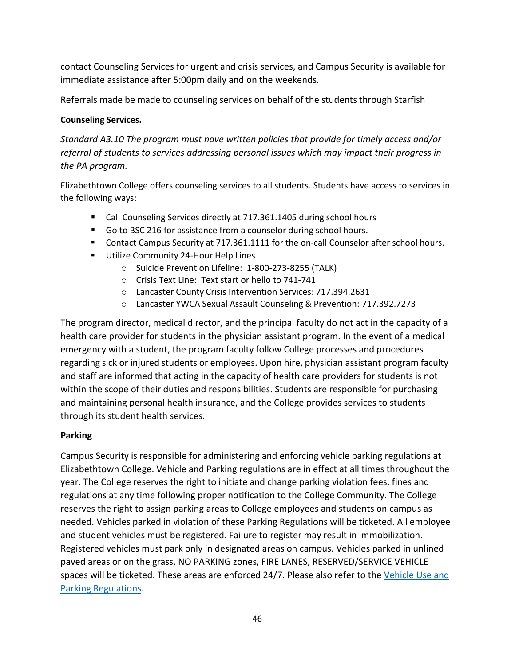contact Counseling Services for urgent and crisis services, and Campus Security is available for immediate assistance after 5:00pm daily and on the weekends.

Referrals made be made to counseling services on behalf of the students through Starfish

#### **Counseling Services.**

*Standard A3.10 The program must have written policies that provide for timely access and/or referral of students to services addressing personal issues which may impact their progress in the PA program.*

Elizabethtown College offers counseling services to all students. Students have access to services in the following ways:

- Call Counseling Services directly at 717.361.1405 during school hours
- Go to BSC 216 for assistance from a counselor during school hours.
- Contact Campus Security at 717.361.1111 for the on-call Counselor after school hours.
- **Utilize Community 24-Hour Help Lines** 
	- o Suicide Prevention Lifeline: 1-800-273-8255 (TALK)
	- o Crisis Text Line: Text start or hello to 741-741
	- o Lancaster County Crisis Intervention Services: 717.394.2631
	- o Lancaster YWCA Sexual Assault Counseling & Prevention: 717.392.7273

The program director, medical director, and the principal faculty do not act in the capacity of a health care provider for students in the physician assistant program. In the event of a medical emergency with a student, the program faculty follow College processes and procedures regarding sick or injured students or employees. Upon hire, physician assistant program faculty and staff are informed that acting in the capacity of health care providers for students is not within the scope of their duties and responsibilities. Students are responsible for purchasing and maintaining personal health insurance, and the College provides services to students through its student health services.

# <span id="page-45-0"></span>**Parking**

Campus Security is responsible for administering and enforcing vehicle parking regulations at Elizabethtown College. Vehicle and Parking regulations are in effect at all times throughout the year. The College reserves the right to initiate and change parking violation fees, fines and regulations at any time following proper notification to the College Community. The College reserves the right to assign parking areas to College employees and students on campus as needed. Vehicles parked in violation of these Parking Regulations will be ticketed. All employee and student vehicles must be registered. Failure to register may result in immobilization. Registered vehicles must park only in designated areas on campus. Vehicles parked in unlined paved areas or on the grass, NO PARKING zones, FIRE LANES, RESERVED/SERVICE VEHICLE spaces will be ticketed. These areas are enforced 24/7. Please also refer to the [Vehicle Use and](https://www.etown.edu/offices/security/parkingregs.aspx) Parking [Regulations.](https://www.etown.edu/offices/security/parkingregs.aspx)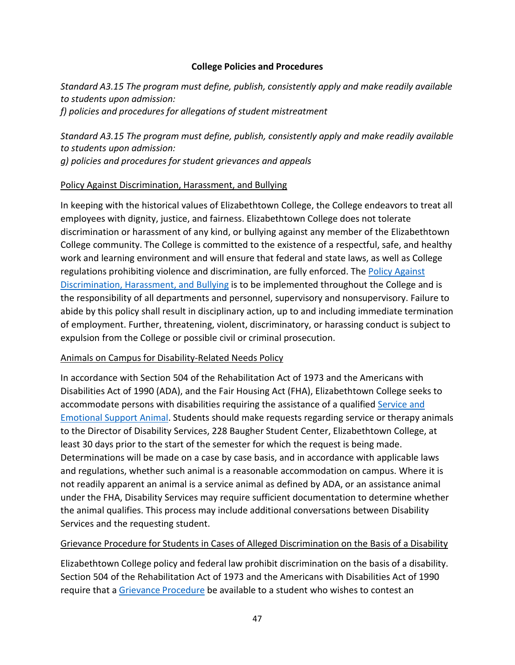#### **College Policies and Procedures**

<span id="page-46-0"></span>*Standard A3.15 The program must define, publish, consistently apply and make readily available to students upon admission: f) policies and procedures for allegations of student mistreatment*

*Standard A3.15 The program must define, publish, consistently apply and make readily available to students upon admission: g) policies and procedures for student grievances and appeals*

#### Policy Against Discrimination, Harassment, and Bullying

In keeping with the historical values of Elizabethtown College, the College endeavors to treat all employees with dignity, justice, and fairness. Elizabethtown College does not tolerate discrimination or harassment of any kind, or bullying against any member of the Elizabethtown College community. The College is committed to the existence of a respectful, safe, and healthy work and learning environment and will ensure that federal and state laws, as well as College regulations prohibiting violence and discrimination, are fully enforced. The [Policy Against](https://www.etown.edu/offices/human-resources/Policy%20Against%20Discrimination.pdf) [Discrimination, Harassment, and Bullying](https://www.etown.edu/offices/human-resources/Policy%20Against%20Discrimination.pdf) is to be implemented throughout the College and is the responsibility of all departments and personnel, supervisory and nonsupervisory. Failure to abide by this policy shall result in disciplinary action, up to and including immediate termination of employment. Further, threatening, violent, discriminatory, or harassing conduct is subject to expulsion from the College or possible civil or criminal prosecution.

# Animals on Campus for Disability-Related Needs Policy

In accordance with Section 504 of the Rehabilitation Act of 1973 and the Americans with Disabilities Act of 1990 (ADA), and the Fair Housing Act (FHA), Elizabethtown College seeks to accommodate persons with disabilities requiring the assistance of a qualified [Service and](https://www.etown.edu/offices/disability/Service_and_Emotional_Support_Animal_Guidelines.aspx) [Emotional Support Animal.](https://www.etown.edu/offices/disability/Service_and_Emotional_Support_Animal_Guidelines.aspx) Students should make requests regarding service or therapy animals to the Director of Disability Services, 228 Baugher Student Center, Elizabethtown College, at least 30 days prior to the start of the semester for which the request is being made. Determinations will be made on a case by case basis, and in accordance with applicable laws and regulations, whether such animal is a reasonable accommodation on campus. Where it is not readily apparent an animal is a service animal as defined by ADA, or an assistance animal under the FHA, Disability Services may require sufficient documentation to determine whether the animal qualifies. This process may include additional conversations between Disability Services and the requesting student.

# Grievance Procedure for Students in Cases of Alleged Discrimination on the Basis of a Disability

Elizabethtown College policy and federal law prohibit discrimination on the basis of a disability. Section 504 of the Rehabilitation Act of 1973 and the Americans with Disabilities Act of 1990 require that a Grievance [Procedure](https://www.etown.edu/offices/disability/Grievance_Procedure.aspx) be available to a student who wishes to contest an